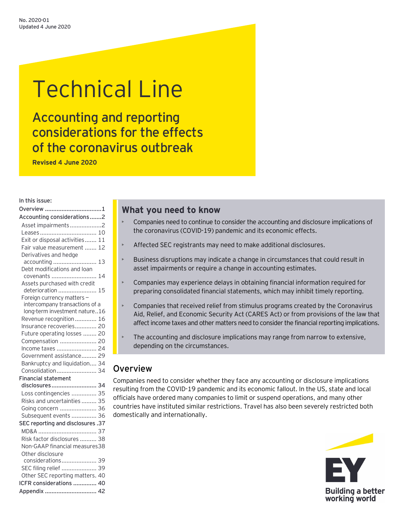# Technical Line

Accounting and reporting considerations for the effects of the coronavirus outbreak

**Revised 4 June 2020**

#### In this issue:

| Overview 1                                   |    |
|----------------------------------------------|----|
| Accounting considerations2                   |    |
| Asset impairments2                           |    |
|                                              |    |
| Exit or disposal activities 11               |    |
| Fair value measurement  12                   |    |
| Derivatives and hedge                        |    |
| accounting  13                               |    |
| Debt modifications and loan                  |    |
| covenants                                    | 14 |
| Assets purchased with credit                 |    |
| deterioration                                | 15 |
| Foreign currency matters -                   |    |
| intercompany transactions of a               |    |
| long-term investment nature16                |    |
| Revenue recognition 16                       |    |
| Insurance recoveries 20                      |    |
| Future operating losses  20                  |    |
| Compensation  20                             |    |
| Income taxes  24                             |    |
| Government assistance 29                     |    |
| Bankruptcy and liquidation 34                |    |
| Consolidation 34                             |    |
| <b>Financial statement</b><br>disclosures 34 |    |
|                                              |    |
| Loss contingencies  35                       |    |
| Risks and uncertainties  35                  |    |
| Going concern  36                            |    |
| Subsequent events  36                        |    |
| SEC reporting and disclosures .37            |    |
|                                              |    |
| Risk factor disclosures  38                  |    |
| Non-GAAP financial measures38                |    |
| Other disclosure                             |    |
| considerations 39                            |    |
| SEC filing relief  39                        |    |
| Other SEC reporting matters. 40              |    |
| ICFR considerations  40                      |    |
| Appendix  42                                 |    |

# **What you need to know**

- Companies need to continue to consider the accounting and disclosure implications of the coronavirus (COVID-19) pandemic and its economic effects.
- Affected SEC registrants may need to make additional disclosures.
- Business disruptions may indicate a change in circumstances that could result in asset impairments or require a change in accounting estimates.
- Companies may experience delays in obtaining financial information required for preparing consolidated financial statements, which may inhibit timely reporting.
- Companies that received relief from stimulus programs created by the Coronavirus Aid, Relief, and Economic Security Act (CARES Act) or from provisions of the law that affect income taxes and other matters need to consider the financial reporting implications.
- The accounting and disclosure implications may range from narrow to extensive, depending on the circumstances.

# <span id="page-0-0"></span>Overview

Companies need to consider whether they face any accounting or disclosure implications resulting from the COVID-19 pandemic and its economic fallout. In the US, state and local officials have ordered many companies to limit or suspend operations, and many other countries have instituted similar restrictions. Travel has also been severely restricted both domestically and internationally.

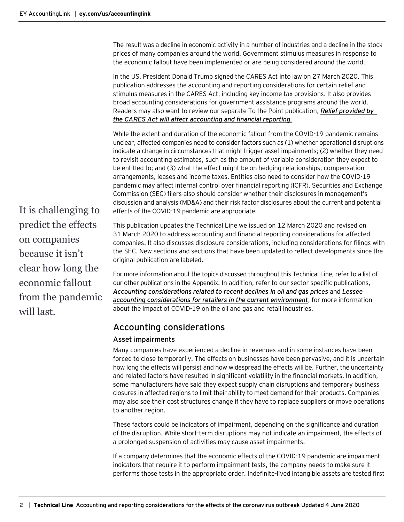The result was a decline in economic activity in a number of industries and a decline in the stock prices of many companies around the world. Government stimulus measures in response to the economic fallout have been implemented or are being considered around the world.

In the US, President Donald Trump signed the CARES Act into law on 27 March 2020. This publication addresses the accounting and reporting considerations for certain relief and stimulus measures in the CARES Act, including key income tax provisions. It also provides broad accounting considerations for government assistance programs around the world. Readers may also want to review our separate To the Point publication, *[Relief provided by](https://www.ey.com/en_us/assurance/accountinglink/to-the-point---relief-provided-by-the-cares-act-will-affect-acco)  [the CARES Act will affect accounting and financial reporting](https://www.ey.com/en_us/assurance/accountinglink/to-the-point---relief-provided-by-the-cares-act-will-affect-acco).*

While the extent and duration of the economic fallout from the COVID-19 pandemic remains unclear, affected companies need to consider factors such as (1) whether operational disruptions indicate a change in circumstances that might trigger asset impairments; (2) whether they need to revisit accounting estimates, such as the amount of variable consideration they expect to be entitled to; and (3) what the effect might be on hedging relationships, compensation arrangements, leases and income taxes. Entities also need to consider how the COVID-19 pandemic may affect internal control over financial reporting (ICFR). Securities and Exchange Commission (SEC) filers also should consider whether their disclosures in management's discussion and analysis (MD&A) and their risk factor disclosures about the current and potential effects of the COVID-19 pandemic are appropriate.

It is challenging to predict the effects on companies because it isn't clear how long the economic fallout from the pandemic will last.

This publication updates the Technical Line we issued on 12 March 2020 and revised on 31 March 2020 to address accounting and financial reporting considerations for affected companies. It also discusses disclosure considerations, including considerations for filings with the SEC. New sections and sections that have been updated to reflect developments since the original publication are labeled.

For more information about the topics discussed throughout this Technical Line, refer to a list of our other publications in the Appendix. In addition, refer to our sector specific publications, *[Accounting considerations related to recent declines in oil and gas prices](https://www.ey.com/en_us/assurance/accountinglink/technical-line---accounting-considerations-related-to-recent-dec)* and *[Lessee](https://www.ey.com/en_us/assurance/accountinglink/technical-line---lessee-accounting-considerations-for-retailers-)  [accounting considerations for retailers in the current environment](https://www.ey.com/en_us/assurance/accountinglink/technical-line---lessee-accounting-considerations-for-retailers-)*, for more information about the impact of COVID-19 on the oil and gas and retail industries.

# <span id="page-1-0"></span>Accounting considerations

# <span id="page-1-1"></span>Asset impairments

Many companies have experienced a decline in revenues and in some instances have been forced to close temporarily. The effects on businesses have been pervasive, and it is uncertain how long the effects will persist and how widespread the effects will be. Further, the uncertainty and related factors have resulted in significant volatility in the financial markets. In addition, some manufacturers have said they expect supply chain disruptions and temporary business closures in affected regions to limit their ability to meet demand for their products. Companies may also see their cost structures change if they have to replace suppliers or move operations to another region.

These factors could be indicators of impairment, depending on the significance and duration of the disruption. While short-term disruptions may not indicate an impairment, the effects of a prolonged suspension of activities may cause asset impairments.

If a company determines that the economic effects of the COVID-19 pandemic are impairment indicators that require it to perform impairment tests, the company needs to make sure it performs those tests in the appropriate order. Indefinite-lived intangible assets are tested first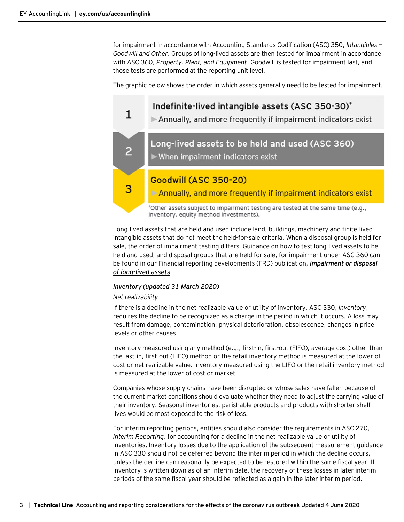for impairment in accordance with Accounting Standards Codification (ASC) 350, *Intangibles — Goodwill and Other*. Groups of long-lived assets are then tested for impairment in accordance with ASC 360, *Property, Plant, and Equipment*. Goodwill is tested for impairment last, and those tests are performed at the reporting unit level.

The graphic below shows the order in which assets generally need to be tested for impairment.



Long-lived assets that are held and used include land, buildings, machinery and finite-lived intangible assets that do not meet the held-for-sale criteria. When a disposal group is held for sale, the order of impairment testing differs. Guidance on how to test long-lived assets to be held and used, and disposal groups that are held for sale, for impairment under ASC 360 can be found in our Financial reporting developments (FRD) publication, *[Impairment or disposal](https://www.ey.com/en_us/assurance/accountinglink/financial-reporting-developments---impairment-or-disposal-of-lon)  [of long-lived assets](https://www.ey.com/en_us/assurance/accountinglink/financial-reporting-developments---impairment-or-disposal-of-lon)*.

### *Inventory (updated 31 March 2020)*

#### *Net realizability*

If there is a decline in the net realizable value or utility of inventory, ASC 330, *Inventory*, requires the decline to be recognized as a charge in the period in which it occurs. A loss may result from damage, contamination, physical deterioration, obsolescence, changes in price levels or other causes.

Inventory measured using any method (e.g., first-in, first-out (FIFO), average cost) other than the last-in, first-out (LIFO) method or the retail inventory method is measured at the lower of cost or net realizable value. Inventory measured using the LIFO or the retail inventory method is measured at the lower of cost or market.

Companies whose supply chains have been disrupted or whose sales have fallen because of the current market conditions should evaluate whether they need to adjust the carrying value of their inventory. Seasonal inventories, perishable products and products with shorter shelf lives would be most exposed to the risk of loss.

For interim reporting periods, entities should also consider the requirements in ASC 270, *Interim Reporting,* for accounting for a decline in the net realizable value or utility of inventories. Inventory losses due to the application of the subsequent measurement guidance in ASC 330 should not be deferred beyond the interim period in which the decline occurs, unless the decline can reasonably be expected to be restored within the same fiscal year. If inventory is written down as of an interim date, the recovery of these losses in later interim periods of the same fiscal year should be reflected as a gain in the later interim period.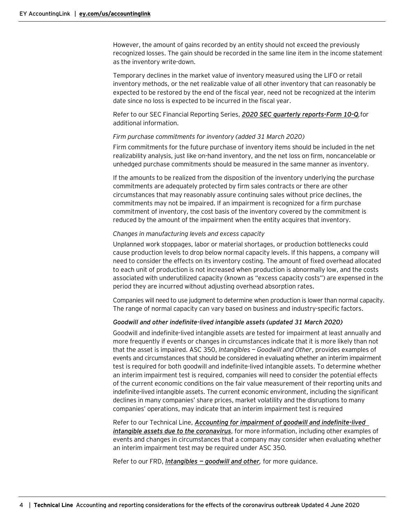However, the amount of gains recorded by an entity should not exceed the previously recognized losses. The gain should be recorded in the same line item in the income statement as the inventory write-down.

Temporary declines in the market value of inventory measured using the LIFO or retail inventory methods, or the net realizable value of all other inventory that can reasonably be expected to be restored by the end of the fiscal year, need not be recognized at the interim date since no loss is expected to be incurred in the fiscal year.

Refer to our SEC Financial Reporting Series, *[2020 SEC quarterly reports-Form 10-Q](https://www.ey.com/en_us/assurance/accountinglink/2020-sec-quarterly-reports---form-10-q),*for additional information.

#### *Firm purchase commitments for inventory (added 31 March 2020)*

Firm commitments for the future purchase of inventory items should be included in the net realizability analysis, just like on-hand inventory, and the net loss on firm, noncancelable or unhedged purchase commitments should be measured in the same manner as inventory.

If the amounts to be realized from the disposition of the inventory underlying the purchase commitments are adequately protected by firm sales contracts or there are other circumstances that may reasonably assure continuing sales without price declines, the commitments may not be impaired. If an impairment is recognized for a firm purchase commitment of inventory, the cost basis of the inventory covered by the commitment is reduced by the amount of the impairment when the entity acquires that inventory.

#### *Changes in manufacturing levels and excess capacity*

Unplanned work stoppages, labor or material shortages, or production bottlenecks could cause production levels to drop below normal capacity levels. If this happens, a company will need to consider the effects on its inventory costing. The amount of fixed overhead allocated to each unit of production is not increased when production is abnormally low, and the costs associated with underutilized capacity (known as "excess capacity costs") are expensed in the period they are incurred without adjusting overhead absorption rates.

Companies will need to use judgment to determine when production is lower than normal capacity. The range of normal capacity can vary based on business and industry-specific factors.

#### *Goodwill and other indefinite-lived intangible assets (updated 31 March 2020)*

Goodwill and indefinite-lived intangible assets are tested for impairment at least annually and more frequently if events or changes in circumstances indicate that it is more likely than not that the asset is impaired. ASC 350, *Intangibles — Goodwill and Other*, provides examples of events and circumstances that should be considered in evaluating whether an interim impairment test is required for both goodwill and indefinite-lived intangible assets. To determine whether an interim impairment test is required, companies will need to consider the potential effects of the current economic conditions on the fair value measurement of their reporting units and indefinite-lived intangible assets. The current economic environment, including the significant declines in many companies' share prices, market volatility and the disruptions to many companies' operations, may indicate that an interim impairment test is required

Refer to our Technical Line, *[Accounting for impairment of goodwill and indefinite-lived](https://www.ey.com/en_us/assurance/accountinglink/technical-line---accounting-for-impairment-of-goodwill-and-indef)  [intangible assets due to the coronavirus](https://www.ey.com/en_us/assurance/accountinglink/technical-line---accounting-for-impairment-of-goodwill-and-indef)*, for more information, including other examples of events and changes in circumstances that a company may consider when evaluating whether an interim impairment test may be required under ASC 350*.*

Refer to our FRD, *Intangibles — [goodwill and other](https://www.ey.com/en_us/assurance/accountinglink/financial-reporting-developments---intangibles---goodwill-and-ot),* for more guidance.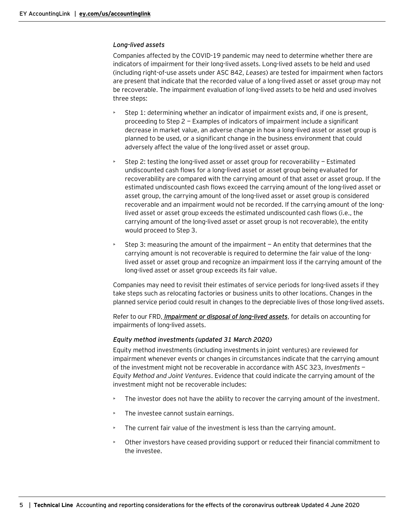#### *Long-lived assets*

Companies affected by the COVID-19 pandemic may need to determine whether there are indicators of impairment for their long-lived assets. Long-lived assets to be held and used (including right-of-use assets under ASC 842, *Leases*) are tested for impairment when factors are present that indicate that the recorded value of a long-lived asset or asset group may not be recoverable. The impairment evaluation of long-lived assets to be held and used involves three steps:

- Step 1: determining whether an indicator of impairment exists and, if one is present, proceeding to Step 2 — Examples of indicators of impairment include a significant decrease in market value, an adverse change in how a long-lived asset or asset group is planned to be used, or a significant change in the business environment that could adversely affect the value of the long-lived asset or asset group.
- Step 2: testing the long-lived asset or asset group for recoverability Estimated undiscounted cash flows for a long-lived asset or asset group being evaluated for recoverability are compared with the carrying amount of that asset or asset group. If the estimated undiscounted cash flows exceed the carrying amount of the long-lived asset or asset group, the carrying amount of the long-lived asset or asset group is considered recoverable and an impairment would not be recorded. If the carrying amount of the longlived asset or asset group exceeds the estimated undiscounted cash flows (i.e., the carrying amount of the long-lived asset or asset group is not recoverable), the entity would proceed to Step 3.
- Step 3: measuring the amount of the impairment  $-$  An entity that determines that the carrying amount is not recoverable is required to determine the fair value of the longlived asset or asset group and recognize an impairment loss if the carrying amount of the long-lived asset or asset group exceeds its fair value.

Companies may need to revisit their estimates of service periods for long-lived assets if they take steps such as relocating factories or business units to other locations. Changes in the planned service period could result in changes to the depreciable lives of those long-lived assets.

Refer to our FRD, *[Impairment or disposal of long-lived assets](https://www.ey.com/en_us/assurance/accountinglink/financial-reporting-developments---impairment-or-disposal-of-lon)*, for details on accounting for impairments of long-lived assets.

#### *Equity method investments (updated 31 March 2020)*

Equity method investments (including investments in joint ventures) are reviewed for impairment whenever events or changes in circumstances indicate that the carrying amount of the investment might not be recoverable in accordance with ASC 323, *Investments — Equity Method and Joint Ventures*. Evidence that could indicate the carrying amount of the investment might not be recoverable includes:

- The investor does not have the ability to recover the carrying amount of the investment.
- The investee cannot sustain earnings.
- The current fair value of the investment is less than the carrying amount.
- Other investors have ceased providing support or reduced their financial commitment to the investee.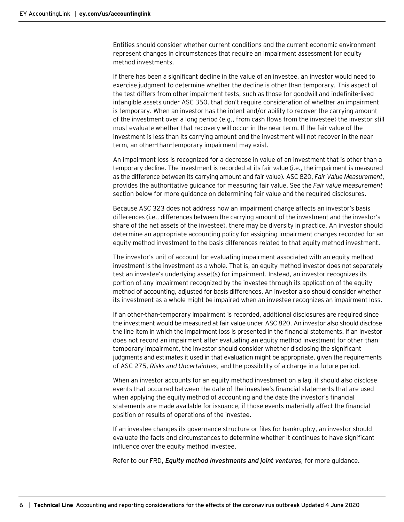Entities should consider whether current conditions and the current economic environment represent changes in circumstances that require an impairment assessment for equity method investments.

If there has been a significant decline in the value of an investee, an investor would need to exercise judgment to determine whether the decline is other than temporary. This aspect of the test differs from other impairment tests, such as those for goodwill and indefinite-lived intangible assets under ASC 350, that don't require consideration of whether an impairment is temporary. When an investor has the intent and/or ability to recover the carrying amount of the investment over a long period (e.g., from cash flows from the investee) the investor still must evaluate whether that recovery will occur in the near term. If the fair value of the investment is less than its carrying amount and the investment will not recover in the near term, an other-than-temporary impairment may exist.

An impairment loss is recognized for a decrease in value of an investment that is other than a temporary decline. The investment is recorded at its fair value (i.e., the impairment is measured as the difference between its carrying amount and fair value). ASC 820, *Fair Value Measurement*, provides the authoritative guidance for measuring fair value. See the *Fair value measurement* section below for more guidance on determining fair value and the required disclosures.

Because ASC 323 does not address how an impairment charge affects an investor's basis differences (i.e., differences between the carrying amount of the investment and the investor's share of the net assets of the investee), there may be diversity in practice. An investor should determine an appropriate accounting policy for assigning impairment charges recorded for an equity method investment to the basis differences related to that equity method investment.

The investor's unit of account for evaluating impairment associated with an equity method investment is the investment as a whole. That is, an equity method investor does not separately test an investee's underlying asset(s) for impairment. Instead, an investor recognizes its portion of any impairment recognized by the investee through its application of the equity method of accounting, adjusted for basis differences. An investor also should consider whether its investment as a whole might be impaired when an investee recognizes an impairment loss.

If an other-than-temporary impairment is recorded, additional disclosures are required since the investment would be measured at fair value under ASC 820. An investor also should disclose the line item in which the impairment loss is presented in the financial statements. If an investor does not record an impairment after evaluating an equity method investment for other-thantemporary impairment, the investor should consider whether disclosing the significant judgments and estimates it used in that evaluation might be appropriate, given the requirements of ASC 275, *Risks and Uncertainties*, and the possibility of a charge in a future period.

When an investor accounts for an equity method investment on a lag, it should also disclose events that occurred between the date of the investee's financial statements that are used when applying the equity method of accounting and the date the investor's financial statements are made available for issuance, if those events materially affect the financial position or results of operations of the investee.

If an investee changes its governance structure or files for bankruptcy, an investor should evaluate the facts and circumstances to determine whether it continues to have significant influence over the equity method investee.

Refer to our FRD, *[Equity method investments](https://www.ey.com/en_us/assurance/accountinglink/financial-reporting-developments---equity-method-investments-and) and joint ventures,* for more guidance.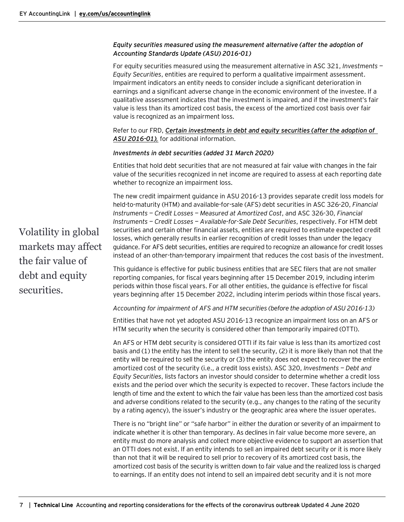# *Equity securities measured using the measurement alternative (after the adoption of Accounting Standards Update (ASU) 2016-01)*

For equity securities measured using the measurement alternative in ASC 321, *Investments — Equity Securities*, entities are required to perform a qualitative impairment assessment. Impairment indicators an entity needs to consider include a significant deterioration in earnings and a significant adverse change in the economic environment of the investee. If a qualitative assessment indicates that the investment is impaired, and if the investment's fair value is less than its amortized cost basis, the excess of the amortized cost basis over fair value is recognized as an impairment loss.

Refer to our FRD, *[Certain investments in debt and equity securities \(after the adoption of](https://www.ey.com/en_us/assurance/accountinglink/financial-reporting-developments---certain-investments-in-debt-a)  [ASU 2016-01\)](https://www.ey.com/en_us/assurance/accountinglink/financial-reporting-developments---certain-investments-in-debt-a),* for additional information.

#### *Investments in debt securities (added 31 March 2020)*

Entities that hold debt securities that are not measured at fair value with changes in the fair value of the securities recognized in net income are required to assess at each reporting date whether to recognize an impairment loss.

The new credit impairment guidance in ASU 2016-13 provides separate credit loss models for held-to-maturity (HTM) and available-for-sale (AFS) debt securities in ASC 326-20, *Financial Instruments — Credit Losses — Measured at Amortized Cost*, and ASC 326-30, *Financial Instruments — Credit Losses — Available-for-Sale Debt Securities*, respectively. For HTM debt securities and certain other financial assets, entities are required to estimate expected credit losses, which generally results in earlier recognition of credit losses than under the legacy guidance. For AFS debt securities, entities are required to recognize an allowance for credit losses instead of an other-than-temporary impairment that reduces the cost basis of the investment.

This guidance is effective for public business entities that are SEC filers that are not smaller reporting companies, for fiscal years beginning after 15 December 2019, including interim periods within those fiscal years. For all other entities, the guidance is effective for fiscal years beginning after 15 December 2022, including interim periods within those fiscal years.

*Accounting for impairment of AFS and HTM securities (before the adoption of ASU 2016-13)*

Entities that have not yet adopted ASU 2016-13 recognize an impairment loss on an AFS or HTM security when the security is considered other than temporarily impaired (OTTI).

An AFS or HTM debt security is considered OTTI if its fair value is less than its amortized cost basis and (1) the entity has the intent to sell the security, (2) it is more likely than not that the entity will be required to sell the security or (3) the entity does not expect to recover the entire amortized cost of the security (i.e., a credit loss exists). ASC 320, *Investments — Debt and Equity Securities*, lists factors an investor should consider to determine whether a credit loss exists and the period over which the security is expected to recover. These factors include the length of time and the extent to which the fair value has been less than the amortized cost basis and adverse conditions related to the security (e.g., any changes to the rating of the security by a rating agency), the issuer's industry or the geographic area where the issuer operates.

There is no "bright line" or "safe harbor" in either the duration or severity of an impairment to indicate whether it is other than temporary. As declines in fair value become more severe, an entity must do more analysis and collect more objective evidence to support an assertion that an OTTI does not exist. If an entity intends to sell an impaired debt security or it is more likely than not that it will be required to sell prior to recovery of its amortized cost basis, the amortized cost basis of the security is written down to fair value and the realized loss is charged to earnings. If an entity does not intend to sell an impaired debt security and it is not more

Volatility in global markets may affect the fair value of debt and equity securities.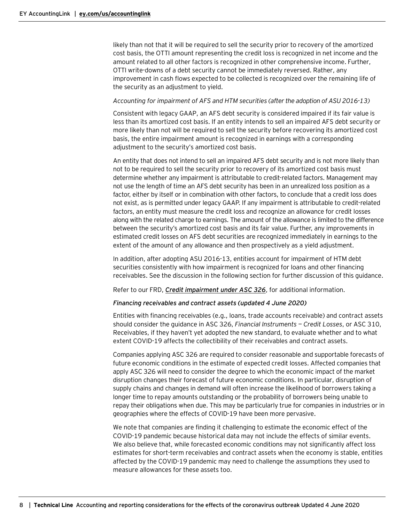likely than not that it will be required to sell the security prior to recovery of the amortized cost basis, the OTTI amount representing the credit loss is recognized in net income and the amount related to all other factors is recognized in other comprehensive income. Further, OTTI write-downs of a debt security cannot be immediately reversed. Rather, any improvement in cash flows expected to be collected is recognized over the remaining life of the security as an adjustment to yield.

#### *Accounting for impairment of AFS and HTM securities (after the adoption of ASU 2016-13)*

Consistent with legacy GAAP, an AFS debt security is considered impaired if its fair value is less than its amortized cost basis. If an entity intends to sell an impaired AFS debt security or more likely than not will be required to sell the security before recovering its amortized cost basis, the entire impairment amount is recognized in earnings with a corresponding adjustment to the security's amortized cost basis.

An entity that does not intend to sell an impaired AFS debt security and is not more likely than not to be required to sell the security prior to recovery of its amortized cost basis must determine whether any impairment is attributable to credit-related factors. Management may not use the length of time an AFS debt security has been in an unrealized loss position as a factor, either by itself or in combination with other factors, to conclude that a credit loss does not exist, as is permitted under legacy GAAP. If any impairment is attributable to credit-related factors, an entity must measure the credit loss and recognize an allowance for credit losses along with the related charge to earnings. The amount of the allowance is limited to the difference between the security's amortized cost basis and its fair value. Further, any improvements in estimated credit losses on AFS debt securities are recognized immediately in earnings to the extent of the amount of any allowance and then prospectively as a yield adjustment.

In addition, after adopting ASU 2016-13, entities account for impairment of HTM debt securities consistently with how impairment is recognized for loans and other financing receivables. See the discussion in the following section for further discussion of this guidance.

Refer to our FRD, *[Credit impairment under ASC](https://www.ey.com/en_us/assurance/accountinglink/financial-reporting-developments---credit-impairment-under-asc-3) 326*, for additional information.

#### *Financing receivables and contract assets (updated 4 June 2020)*

Entities with financing receivables (e.g., loans, trade accounts receivable) and contract assets should consider the guidance in ASC 326, *Financial Instruments — Credit Losses*, or ASC 310, Receivables, if they haven't yet adopted the new standard, to evaluate whether and to what extent COVID-19 affects the collectibility of their receivables and contract assets.

Companies applying ASC 326 are required to consider reasonable and supportable forecasts of future economic conditions in the estimate of expected credit losses. Affected companies that apply ASC 326 will need to consider the degree to which the economic impact of the market disruption changes their forecast of future economic conditions. In particular, disruption of supply chains and changes in demand will often increase the likelihood of borrowers taking a longer time to repay amounts outstanding or the probability of borrowers being unable to repay their obligations when due. This may be particularly true for companies in industries or in geographies where the effects of COVID-19 have been more pervasive.

We note that companies are finding it challenging to estimate the economic effect of the COVID-19 pandemic because historical data may not include the effects of similar events. We also believe that, while forecasted economic conditions may not significantly affect loss estimates for short-term receivables and contract assets when the economy is stable, entities affected by the COVID-19 pandemic may need to challenge the assumptions they used to measure allowances for these assets too.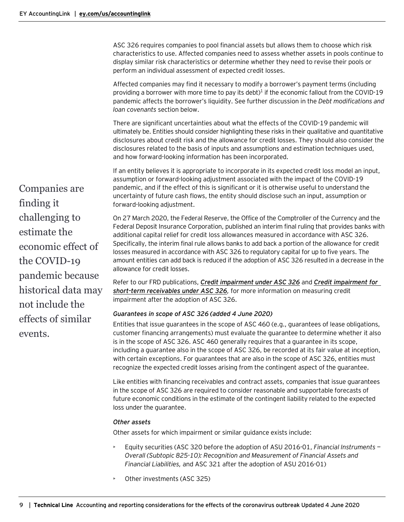ASC 326 requires companies to pool financial assets but allows them to choose which risk characteristics to use. Affected companies need to assess whether assets in pools continue to display similar risk characteristics or determine whether they need to revise their pools or perform an individual assessment of expected credit losses.

Affected companies may find it necessary to modify a borrower's payment terms (including providing a borrower with more time to pay its debt)<sup>1</sup> if the economic fallout from the COVID-19 pandemic affects the borrower's liquidity. See further discussion in the *Debt modifications and loan covenants* section below.

There are significant uncertainties about what the effects of the COVID-19 pandemic will ultimately be. Entities should consider highlighting these risks in their qualitative and quantitative disclosures about credit risk and the allowance for credit losses. They should also consider the disclosures related to the basis of inputs and assumptions and estimation techniques used, and how forward-looking information has been incorporated.

If an entity believes it is appropriate to incorporate in its expected credit loss model an input, assumption or forward-looking adjustment associated with the impact of the COVID-19 pandemic, and if the effect of this is significant or it is otherwise useful to understand the uncertainty of future cash flows, the entity should disclose such an input, assumption or forward-looking adjustment.

On 27 March 2020, the Federal Reserve, the Office of the Comptroller of the Currency and the Federal Deposit Insurance Corporation, published an interim final ruling that provides banks with additional capital relief for credit loss allowances measured in accordance with ASC 326. Specifically, the interim final rule allows banks to add back a portion of the allowance for credit losses measured in accordance with ASC 326 to regulatory capital for up to five years. The amount entities can add back is reduced if the adoption of ASC 326 resulted in a decrease in the allowance for credit losses.

Refer to our FRD publications, *[Credit impairment under ASC](https://www.ey.com/ul/en/accountinglink/frd-04488-181us-credit-impairment) 326* and *[Credit impairment for](https://www.ey.com/ul/en/accountinglink/frd-06003-191us-credit-impairment)  [short-term receivables under ASC](https://www.ey.com/ul/en/accountinglink/frd-06003-191us-credit-impairment) 326,* for more information on measuring credit impairment after the adoption of ASC 326.

# *Guarantees in scope of ASC 326 (added 4 June 2020)*

Entities that issue guarantees in the scope of ASC 460 (e.g., guarantees of lease obligations, customer financing arrangements) must evaluate the guarantee to determine whether it also is in the scope of ASC 326. ASC 460 generally requires that a guarantee in its scope, including a guarantee also in the scope of ASC 326, be recorded at its fair value at inception, with certain exceptions. For guarantees that are also in the scope of ASC 326, entities must recognize the expected credit losses arising from the contingent aspect of the guarantee.

Like entities with financing receivables and contract assets, companies that issue guarantees in the scope of ASC 326 are required to consider reasonable and supportable forecasts of future economic conditions in the estimate of the contingent liability related to the expected loss under the guarantee.

#### *Other assets*

Other assets for which impairment or similar guidance exists include:

- Equity securities (ASC 320 before the adoption of ASU 2016-01, *Financial Instruments — Overall (Subtopic 825-10): Recognition and Measurement of Financial Assets and Financial Liabilities,* and ASC 321 after the adoption of ASU 2016-01)
- Other investments (ASC 325)

Companies are finding it challenging to estimate the economic effect of the COVID-19 pandemic because historical data may not include the effects of similar events.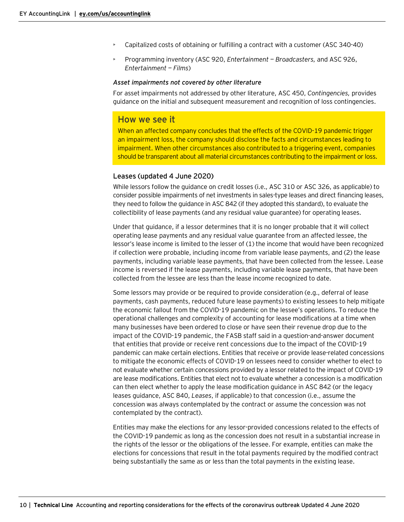- Capitalized costs of obtaining or fulfilling a contract with a customer (ASC 340-40)
- Programming inventory (ASC 920, *Entertainment — Broadcasters,* and ASC 926, *Entertainment — Films*)

#### *Asset impairments not covered by other literature*

For asset impairments not addressed by other literature, ASC 450, *Contingencies,* provides guidance on the initial and subsequent measurement and recognition of loss contingencies.

# How we see it

When an affected company concludes that the effects of the COVID-19 pandemic trigger an impairment loss, the company should disclose the facts and circumstances leading to impairment. When other circumstances also contributed to a triggering event, companies should be transparent about all material circumstances contributing to the impairment or loss.

#### <span id="page-9-0"></span>Leases (updated 4 June 2020)

While lessors follow the guidance on credit losses (i.e., ASC 310 or ASC 326, as applicable) to consider possible impairments of net investments in sales-type leases and direct financing leases, they need to follow the guidance in ASC 842 (if they adopted this standard), to evaluate the collectibility of lease payments (and any residual value guarantee) for operating leases.

Under that guidance, if a lessor determines that it is no longer probable that it will collect operating lease payments and any residual value guarantee from an affected lessee, the lessor's lease income is limited to the lesser of (1) the income that would have been recognized if collection were probable, including income from variable lease payments, and (2) the lease payments, including variable lease payments, that have been collected from the lessee. Lease income is reversed if the lease payments, including variable lease payments, that have been collected from the lessee are less than the lease income recognized to date.

Some lessors may provide or be required to provide consideration (e.g., deferral of lease payments, cash payments, reduced future lease payments) to existing lessees to help mitigate the economic fallout from the COVID-19 pandemic on the lessee's operations. To reduce the operational challenges and complexity of accounting for lease modifications at a time when many businesses have been ordered to close or have seen their revenue drop due to the impact of the COVID-19 pandemic, the FASB staff said in a question-and-answer document that entities that provide or receive rent concessions due to the impact of the COVID-19 pandemic can make certain elections. Entities that receive or provide lease-related concessions to mitigate the economic effects of COVID-19 on lessees need to consider whether to elect to not evaluate whether certain concessions provided by a lessor related to the impact of COVID-19 are lease modifications. Entities that elect not to evaluate whether a concession is a modification can then elect whether to apply the lease modification guidance in ASC 842 (or the legacy leases guidance, ASC 840, *Leases*, if applicable) to that concession (i.e., assume the concession was always contemplated by the contract or assume the concession was not contemplated by the contract).

Entities may make the elections for any lessor-provided concessions related to the effects of the COVID-19 pandemic as long as the concession does not result in a substantial increase in the rights of the lessor or the obligations of the lessee. For example, entities can make the elections for concessions that result in the total payments required by the modified contract being substantially the same as or less than the total payments in the existing lease.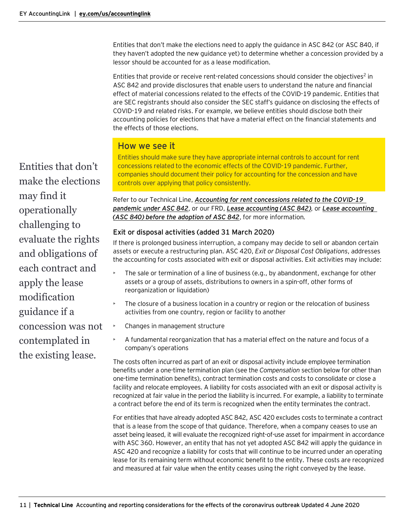Entities that don't make the elections need to apply the guidance in ASC 842 (or ASC 840, if they haven't adopted the new guidance yet) to determine whether a concession provided by a lessor should be accounted for as a lease modification.

Entities that provide or receive rent-related concessions should consider the objectives<sup>2</sup> in ASC 842 and provide disclosures that enable users to understand the nature and financial effect of material concessions related to the effects of the COVID-19 pandemic. Entities that are SEC registrants should also consider the SEC staff's guidance on disclosing the effects of COVID-19 and related risks. For example, we believe entities should disclose both their accounting policies for elections that have a material effect on the financial statements and the effects of those elections.

# How we see it

Entities should make sure they have appropriate internal controls to account for rent concessions related to the economic effects of the COVID-19 pandemic. Further, companies should document their policy for accounting for the concession and have controls over applying that policy consistently.

Refer to our Technical Line, *[Accounting for rent concessions related to the COVID-19](https://www.ey.com/en_us/assurance/accountinglink/technical-line---accounting-for-rent-concessions-related-to-the-)  [pandemic under ASC](https://www.ey.com/en_us/assurance/accountinglink/technical-line---accounting-for-rent-concessions-related-to-the-) 842*, or our FRD, *[Lease accounting \(ASC](https://www.ey.com/en_us/assurance/accountinglink/financial-reporting-developments---lease-accounting---accounting) 842)*, or *[Lease accounting](https://www.ey.com/en_us/assurance/accountinglink/financial-reporting-developments---lease-accounting---accounting0)  (ASC [840\) before the adoption of ASC](https://www.ey.com/en_us/assurance/accountinglink/financial-reporting-developments---lease-accounting---accounting0) 842*, for more information*.*

# <span id="page-10-0"></span>Exit or disposal activities (added 31 March 2020)

If there is prolonged business interruption, a company may decide to sell or abandon certain assets or execute a restructuring plan. ASC 420, *Exit or Disposal Cost Obligations*, addresses the accounting for costs associated with exit or disposal activities. Exit activities may include:

- The sale or termination of a line of business (e.g., by abandonment, exchange for other assets or a group of assets, distributions to owners in a spin-off, other forms of reorganization or liquidation)
- The closure of a business location in a country or region or the relocation of business activities from one country, region or facility to another
- Changes in management structure
- A fundamental reorganization that has a material effect on the nature and focus of a company's operations

The costs often incurred as part of an exit or disposal activity include employee termination benefits under a one-time termination plan (see the *Compensation* section below for other than one-time termination benefits), contract termination costs and costs to consolidate or close a facility and relocate employees. A liability for costs associated with an exit or disposal activity is recognized at fair value in the period the liability is incurred. For example, a liability to terminate a contract before the end of its term is recognized when the entity terminates the contract.

For entities that have already adopted ASC 842, ASC 420 excludes costs to terminate a contract that is a lease from the scope of that guidance. Therefore, when a company ceases to use an asset being leased, it will evaluate the recognized right-of-use asset for impairment in accordance with ASC 360. However, an entity that has not yet adopted ASC 842 will apply the guidance in ASC 420 and recognize a liability for costs that will continue to be incurred under an operating lease for its remaining term without economic benefit to the entity. These costs are recognized and measured at fair value when the entity ceases using the right conveyed by the lease.

Entities that don't make the elections may find it operationally challenging to evaluate the rights and obligations of each contract and apply the lease modification guidance if a concession was not contemplated in the existing lease.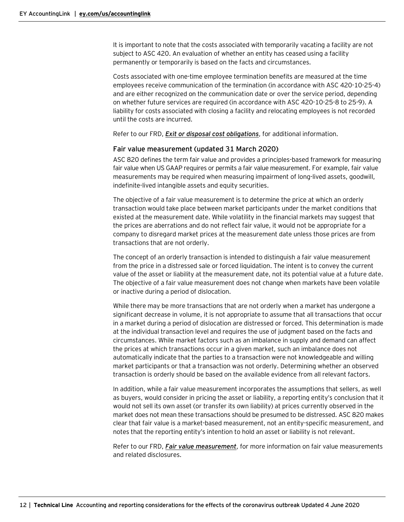It is important to note that the costs associated with temporarily vacating a facility are not subject to ASC 420. An evaluation of whether an entity has ceased using a facility permanently or temporarily is based on the facts and circumstances.

Costs associated with one-time employee termination benefits are measured at the time employees receive communication of the termination (in accordance with ASC 420-10-25-4) and are either recognized on the communication date or over the service period, depending on whether future services are required (in accordance with ASC 420-10-25-8 to 25-9). A liability for costs associated with closing a facility and relocating employees is not recorded until the costs are incurred.

Refer to our FRD, *[Exit or disposal cost obligations](https://www.ey.com/en_us/assurance/accountinglink/financial-reporting-developments---exit-or-disposal-cost-obligat)*, for additional information.

# <span id="page-11-0"></span>Fair value measurement (updated 31 March 2020)

ASC 820 defines the term fair value and provides a principles-based framework for measuring fair value when US GAAP requires or permits a fair value measurement. For example, fair value measurements may be required when measuring impairment of long-lived assets, goodwill, indefinite-lived intangible assets and equity securities.

The objective of a fair value measurement is to determine the price at which an orderly transaction would take place between market participants under the market conditions that existed at the measurement date. While volatility in the financial markets may suggest that the prices are aberrations and do not reflect fair value, it would not be appropriate for a company to disregard market prices at the measurement date unless those prices are from transactions that are not orderly.

The concept of an orderly transaction is intended to distinguish a fair value measurement from the price in a distressed sale or forced liquidation. The intent is to convey the current value of the asset or liability at the measurement date, not its potential value at a future date. The objective of a fair value measurement does not change when markets have been volatile or inactive during a period of dislocation.

While there may be more transactions that are not orderly when a market has undergone a significant decrease in volume, it is not appropriate to assume that all transactions that occur in a market during a period of dislocation are distressed or forced. This determination is made at the individual transaction level and requires the use of judgment based on the facts and circumstances. While market factors such as an imbalance in supply and demand can affect the prices at which transactions occur in a given market, such an imbalance does not automatically indicate that the parties to a transaction were not knowledgeable and willing market participants or that a transaction was not orderly. Determining whether an observed transaction is orderly should be based on the available evidence from all relevant factors.

In addition, while a fair value measurement incorporates the assumptions that sellers, as well as buyers, would consider in pricing the asset or liability, a reporting entity's conclusion that it would not sell its own asset (or transfer its own liability) at prices currently observed in the market does not mean these transactions should be presumed to be distressed. ASC 820 makes clear that fair value is a market-based measurement, not an entity-specific measurement, and notes that the reporting entity's intention to hold an asset or liability is not relevant.

Refer to our FRD, *[Fair value measurement](https://www.ey.com/en_us/assurance/accountinglink/financial-reporting-developments---fair-value-measurement)*, for more information on fair value measurements and related disclosures.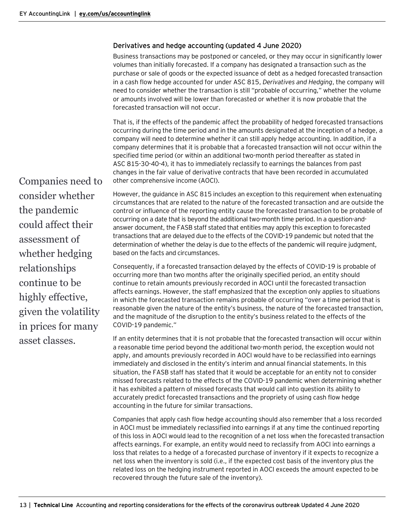# <span id="page-12-0"></span>Derivatives and hedge accounting (updated 4 June 2020)

Business transactions may be postponed or canceled, or they may occur in significantly lower volumes than initially forecasted. If a company has designated a transaction such as the purchase or sale of goods or the expected issuance of debt as a hedged forecasted transaction in a cash flow hedge accounted for under ASC 815, *Derivatives and Hedging*, the company will need to consider whether the transaction is still "probable of occurring," whether the volume or amounts involved will be lower than forecasted or whether it is now probable that the forecasted transaction will not occur.

That is, if the effects of the pandemic affect the probability of hedged forecasted transactions occurring during the time period and in the amounts designated at the inception of a hedge, a company will need to determine whether it can still apply hedge accounting. In addition, if a company determines that it is probable that a forecasted transaction will not occur within the specified time period (or within an additional two-month period thereafter as stated in ASC 815-30-40-4), it has to immediately reclassify to earnings the balances from past changes in the fair value of derivative contracts that have been recorded in accumulated other comprehensive income (AOCI).

However, the guidance in ASC 815 includes an exception to this requirement when extenuating circumstances that are related to the nature of the forecasted transaction and are outside the control or influence of the reporting entity cause the forecasted transaction to be probable of occurring on a date that is beyond the additional two-month time period. In a question-andanswer document, the FASB staff stated that entities may apply this exception to forecasted transactions that are delayed due to the effects of the COVID-19 pandemic but noted that the determination of whether the delay is due to the effects of the pandemic will require judgment, based on the facts and circumstances.

Consequently, if a forecasted transaction delayed by the effects of COVID-19 is probable of occurring more than two months after the originally specified period, an entity should continue to retain amounts previously recorded in AOCI until the forecasted transaction affects earnings. However, the staff emphasized that the exception only applies to situations in which the forecasted transaction remains probable of occurring "over a time period that is reasonable given the nature of the entity's business, the nature of the forecasted transaction, and the magnitude of the disruption to the entity's business related to the effects of the COVID-19 pandemic."

If an entity determines that it is not probable that the forecasted transaction will occur within a reasonable time period beyond the additional two-month period, the exception would not apply, and amounts previously recorded in AOCI would have to be reclassified into earnings immediately and disclosed in the entity's interim and annual financial statements. In this situation, the FASB staff has stated that it would be acceptable for an entity not to consider missed forecasts related to the effects of the COVID-19 pandemic when determining whether it has exhibited a pattern of missed forecasts that would call into question its ability to accurately predict forecasted transactions and the propriety of using cash flow hedge accounting in the future for similar transactions.

Companies that apply cash flow hedge accounting should also remember that a loss recorded in AOCI must be immediately reclassified into earnings if at any time the continued reporting of this loss in AOCI would lead to the recognition of a net loss when the forecasted transaction affects earnings. For example, an entity would need to reclassify from AOCI into earnings a loss that relates to a hedge of a forecasted purchase of inventory if it expects to recognize a net loss when the inventory is sold (i.e., if the expected cost basis of the inventory plus the related loss on the hedging instrument reported in AOCI exceeds the amount expected to be recovered through the future sale of the inventory).

Companies need to consider whether the pandemic could affect their assessment of whether hedging relationships continue to be highly effective, given the volatility in prices for many asset classes.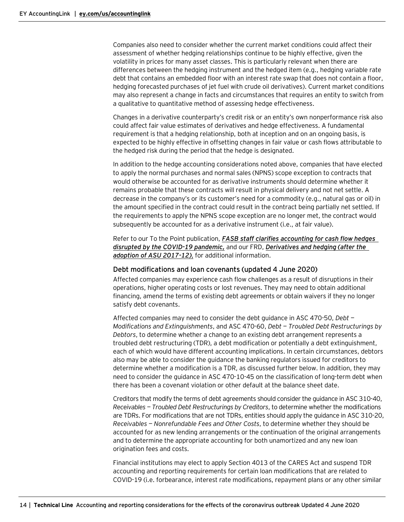Companies also need to consider whether the current market conditions could affect their assessment of whether hedging relationships continue to be highly effective, given the volatility in prices for many asset classes. This is particularly relevant when there are differences between the hedging instrument and the hedged item (e.g., hedging variable rate debt that contains an embedded floor with an interest rate swap that does not contain a floor, hedging forecasted purchases of jet fuel with crude oil derivatives). Current market conditions may also represent a change in facts and circumstances that requires an entity to switch from a qualitative to quantitative method of assessing hedge effectiveness.

Changes in a derivative counterparty's credit risk or an entity's own nonperformance risk also could affect fair value estimates of derivatives and hedge effectiveness. A fundamental requirement is that a hedging relationship, both at inception and on an ongoing basis, is expected to be highly effective in offsetting changes in fair value or cash flows attributable to the hedged risk during the period that the hedge is designated.

In addition to the hedge accounting considerations noted above, companies that have elected to apply the normal purchases and normal sales (NPNS) scope exception to contracts that would otherwise be accounted for as derivative instruments should determine whether it remains probable that these contracts will result in physical delivery and not net settle. A decrease in the company's or its customer's need for a commodity (e.g., natural gas or oil) in the amount specified in the contract could result in the contract being partially net settled. If the requirements to apply the NPNS scope exception are no longer met, the contract would subsequently be accounted for as a derivative instrument (i.e., at fair value).

Refer to our To the Point publication, *[FASB staff clarifies accounting for cash flow hedges](https://www.ey.com/en_us/assurance/accountinglink/to-the-point---fasb-staff-clarifies-accounting-for-cash-flow-hed)  [disrupted by the COVID-19 pandemic,](https://www.ey.com/en_us/assurance/accountinglink/to-the-point---fasb-staff-clarifies-accounting-for-cash-flow-hed)* and our FRD, *[Derivatives and hedging \(after the](https://www.ey.com/en_us/assurance/accountinglink/financial-reporting-developments---derivatives-and-hedging--afte)  [adoption of ASU 2017-12\)](https://www.ey.com/en_us/assurance/accountinglink/financial-reporting-developments---derivatives-and-hedging--afte)*, for additional information.

#### <span id="page-13-0"></span>Debt modifications and loan covenants (updated 4 June 2020)

Affected companies may experience cash flow challenges as a result of disruptions in their operations, higher operating costs or lost revenues. They may need to obtain additional financing, amend the terms of existing debt agreements or obtain waivers if they no longer satisfy debt covenants.

Affected companies may need to consider the debt guidance in ASC 470-50, *Debt — Modifications and Extinguishments*, and ASC 470-60, *Debt — Troubled Debt Restructurings by Debtors*, to determine whether a change to an existing debt arrangement represents a troubled debt restructuring (TDR), a debt modification or potentially a debt extinguishment, each of which would have different accounting implications. In certain circumstances, debtors also may be able to consider the guidance the banking regulators issued for creditors to determine whether a modification is a TDR, as discussed further below. In addition, they may need to consider the guidance in ASC 470-10-45 on the classification of long-term debt when there has been a covenant violation or other default at the balance sheet date.

Creditors that modify the terms of debt agreements should consider the guidance in ASC 310-40, *Receivables — Troubled Debt Restructurings by Creditors*, to determine whether the modifications are TDRs. For modifications that are not TDRs, entities should apply the guidance in ASC 310-20, *Receivables — Nonrefundable Fees and Other Costs*, to determine whether they should be accounted for as new lending arrangements or the continuation of the original arrangements and to determine the appropriate accounting for both unamortized and any new loan origination fees and costs.

Financial institutions may elect to apply Section 4013 of the CARES Act and suspend TDR accounting and reporting requirements for certain loan modifications that are related to COVID-19 (i.e. forbearance, interest rate modifications, repayment plans or any other similar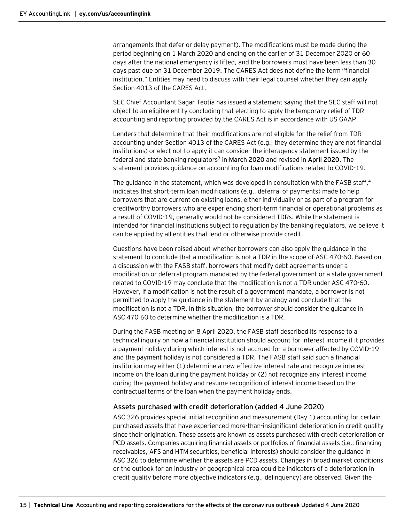arrangements that defer or delay payment). The modifications must be made during the period beginning on 1 March 2020 and ending on the earlier of 31 December 2020 or 60 days after the national emergency is lifted, and the borrowers must have been less than 30 days past due on 31 December 2019. The CARES Act does not define the term "financial institution." Entities may need to discuss with their legal counsel whether they can apply Section 4013 of the CARES Act.

SEC Chief Accountant Sagar Teotia has issued a statement saying that the SEC staff will not object to an eligible entity concluding that electing to apply the temporary relief of TDR accounting and reporting provided by the CARES Act is in accordance with US GAAP.

Lenders that determine that their modifications are not eligible for the relief from TDR accounting under Section 4013 of the CARES Act (e.g., they determine they are not financial institutions) or elect not to apply it can consider the interagency statement issued by the federal and state banking regulators3 in **[March 2020](https://www.federalreserve.gov/newsevents/pressreleases/files/bcreg20200322a1.pdf)** and revised in **[April 2020](https://www.federalreserve.gov/newsevents/pressreleases/files/bcreg20200407a1.pdf)**. The statement provides guidance on accounting for loan modifications related to COVID-19.

The quidance in the statement, which was developed in consultation with the FASB staff, $4$ indicates that short-term loan modifications (e.g., deferral of payments) made to help borrowers that are current on existing loans, either individually or as part of a program for creditworthy borrowers who are experiencing short-term financial or operational problems as a result of COVID-19, generally would not be considered TDRs. While the statement is intended for financial institutions subject to regulation by the banking regulators, we believe it can be applied by all entities that lend or otherwise provide credit.

Questions have been raised about whether borrowers can also apply the guidance in the statement to conclude that a modification is not a TDR in the scope of ASC 470-60. Based on a discussion with the FASB staff, borrowers that modify debt agreements under a modification or deferral program mandated by the federal government or a state government related to COVID-19 may conclude that the modification is not a TDR under ASC 470-60. However, if a modification is not the result of a government mandate, a borrower is not permitted to apply the guidance in the statement by analogy and conclude that the modification is not a TDR. In this situation, the borrower should consider the guidance in ASC 470-60 to determine whether the modification is a TDR.

During the FASB meeting on 8 April 2020, the FASB staff described its response to a technical inquiry on how a financial institution should account for interest income if it provides a payment holiday during which interest is not accrued for a borrower affected by COVID-19 and the payment holiday is not considered a TDR. The FASB staff said such a financial institution may either (1) determine a new effective interest rate and recognize interest income on the loan during the payment holiday or (2) not recognize any interest income during the payment holiday and resume recognition of interest income based on the contractual terms of the loan when the payment holiday ends.

# <span id="page-14-0"></span>Assets purchased with credit deterioration (added 4 June 2020)

ASC 326 provides special initial recognition and measurement (Day 1) accounting for certain purchased assets that have experienced more-than-insignificant deterioration in credit quality since their origination. These assets are known as assets purchased with credit deterioration or PCD assets. Companies acquiring financial assets or portfolios of financial assets (i.e., financing receivables, AFS and HTM securities, beneficial interests) should consider the guidance in ASC 326 to determine whether the assets are PCD assets. Changes in broad market conditions or the outlook for an industry or geographical area could be indicators of a deterioration in credit quality before more objective indicators (e.g., delinquency) are observed. Given the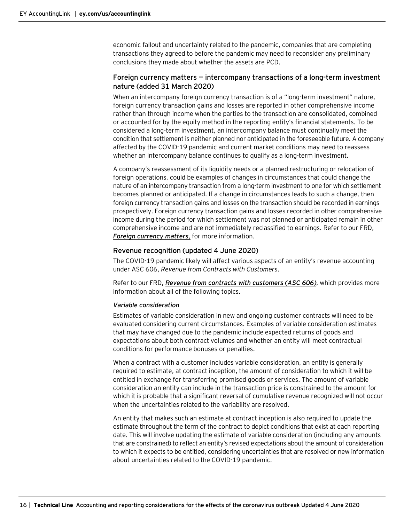economic fallout and uncertainty related to the pandemic, companies that are completing transactions they agreed to before the pandemic may need to reconsider any preliminary conclusions they made about whether the assets are PCD.

# <span id="page-15-0"></span>Foreign currency matters — intercompany transactions of a long-term investment nature (added 31 March 2020)

When an intercompany foreign currency transaction is of a "long-term investment" nature, foreign currency transaction gains and losses are reported in other comprehensive income rather than through income when the parties to the transaction are consolidated, combined or accounted for by the equity method in the reporting entity's financial statements. To be considered a long-term investment, an intercompany balance must continually meet the condition that settlement is neither planned nor anticipated in the foreseeable future. A company affected by the COVID-19 pandemic and current market conditions may need to reassess whether an intercompany balance continues to qualify as a long-term investment.

A company's reassessment of its liquidity needs or a planned restructuring or relocation of foreign operations, could be examples of changes in circumstances that could change the nature of an intercompany transaction from a long-term investment to one for which settlement becomes planned or anticipated. If a change in circumstances leads to such a change, then foreign currency transaction gains and losses on the transaction should be recorded in earnings prospectively. Foreign currency transaction gains and losses recorded in other comprehensive income during the period for which settlement was not planned or anticipated remain in other comprehensive income and are not immediately reclassified to earnings. Refer to our FRD, *[Foreign currency matters](https://www.ey.com/en_us/assurance/accountinglink/financial-reporting-developments---earnings-per-share)*, for more information.

## <span id="page-15-1"></span>Revenue recognition (updated 4 June 2020)

The COVID-19 pandemic likely will affect various aspects of an entity's revenue accounting under ASC 606, *Revenue from Contracts with Customers*.

Refer to our FRD, *[Revenue from contracts with customers \(ASC](https://www.ey.com/en_us/assurance/accountinglink/financial-reporting-developments---revenue-from-contracts-with-c) 606)*, which provides more information about all of the following topics.

#### *Variable consideration*

Estimates of variable consideration in new and ongoing customer contracts will need to be evaluated considering current circumstances. Examples of variable consideration estimates that may have changed due to the pandemic include expected returns of goods and expectations about both contract volumes and whether an entity will meet contractual conditions for performance bonuses or penalties.

When a contract with a customer includes variable consideration, an entity is generally required to estimate, at contract inception, the amount of consideration to which it will be entitled in exchange for transferring promised goods or services. The amount of variable consideration an entity can include in the transaction price is constrained to the amount for which it is probable that a significant reversal of cumulative revenue recognized will not occur when the uncertainties related to the variability are resolved.

An entity that makes such an estimate at contract inception is also required to update the estimate throughout the term of the contract to depict conditions that exist at each reporting date. This will involve updating the estimate of variable consideration (including any amounts that are constrained) to reflect an entity's revised expectations about the amount of consideration to which it expects to be entitled, considering uncertainties that are resolved or new information about uncertainties related to the COVID-19 pandemic.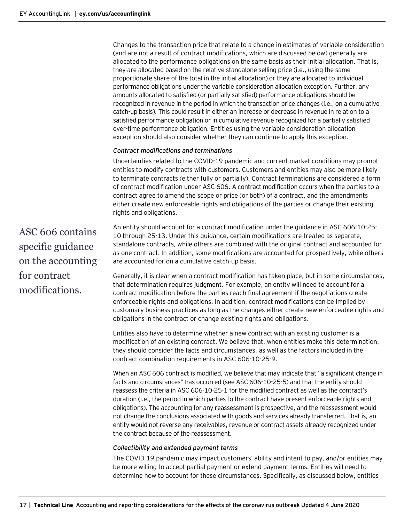Changes to the transaction price that relate to a change in estimates of variable consideration (and are not a result of contract modifications, which are discussed below) generally are allocated to the performance obligations on the same basis as their initial allocation. That is, they are allocated based on the relative standalone selling price (i.e., using the same proportionate share of the total in the initial allocation) or they are allocated to individual performance obligations under the variable consideration allocation exception. Further, any amounts allocated to satisfied (or partially satisfied) performance obligations should be recognized in revenue in the period in which the transaction price changes (i.e., on a cumulative catch-up basis). This could result in either an increase or decrease in revenue in relation to a satisfied performance obligation or in cumulative revenue recognized for a partially satisfied over-time performance obligation. Entities using the variable consideration allocation exception should also consider whether they can continue to apply this exception.

## *Contract modifications and terminations*

Uncertainties related to the COVID-19 pandemic and current market conditions may prompt entities to modify contracts with customers. Customers and entities may also be more likely to terminate contracts (either fully or partially). Contract terminations are considered a form of contract modification under ASC 606. A contract modification occurs when the parties to a contract agree to amend the scope or price (or both) of a contract, and the amendments either create new enforceable rights and obligations of the parties or change their existing rights and obligations.

ASC 606 contains specific guidance on the accounting for contract modifications.

An entity should account for a contract modification under the guidance in ASC 606-10-25- 10 through 25-13. Under this guidance, certain modifications are treated as separate, standalone contracts, while others are combined with the original contract and accounted for as one contract. In addition, some modifications are accounted for prospectively, while others are accounted for on a cumulative catch-up basis.

Generally, it is clear when a contract modification has taken place, but in some circumstances, that determination requires judgment. For example, an entity will need to account for a contract modification before the parties reach final agreement if the negotiations create enforceable rights and obligations. In addition, contract modifications can be implied by customary business practices as long as the changes either create new enforceable rights and obligations in the contract or change existing rights and obligations.

Entities also have to determine whether a new contract with an existing customer is a modification of an existing contract. We believe that, when entities make this determination, they should consider the facts and circumstances, as well as the factors included in the contract combination requirements in ASC 606-10-25-9.

When an ASC 606 contract is modified, we believe that may indicate that "a significant change in facts and circumstances" has occurred (see ASC 606-10-25-5) and that the entity should reassess the criteria in ASC 606-10-25-1 for the modified contract as well as the contract's duration (i.e., the period in which parties to the contract have present enforceable rights and obligations). The accounting for any reassessment is prospective, and the reassessment would not change the conclusions associated with goods and services already transferred. That is, an entity would not reverse any receivables, revenue or contract assets already recognized under the contract because of the reassessment.

#### *Collectibility and extended payment terms*

The COVID-19 pandemic may impact customers' ability and intent to pay, and/or entities may be more willing to accept partial payment or extend payment terms. Entities will need to determine how to account for these circumstances. Specifically, as discussed below, entities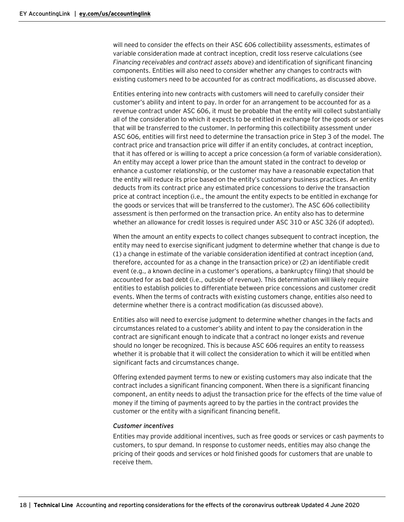will need to consider the effects on their ASC 606 collectibility assessments, estimates of variable consideration made at contract inception, credit loss reserve calculations (see *Financing receivables and contract assets* above) and identification of significant financing components. Entities will also need to consider whether any changes to contracts with existing customers need to be accounted for as contract modifications, as discussed above.

Entities entering into new contracts with customers will need to carefully consider their customer's ability and intent to pay. In order for an arrangement to be accounted for as a revenue contract under ASC 606, it must be probable that the entity will collect substantially all of the consideration to which it expects to be entitled in exchange for the goods or services that will be transferred to the customer. In performing this collectibility assessment under ASC 606, entities will first need to determine the transaction price in Step 3 of the model. The contract price and transaction price will differ if an entity concludes, at contract inception, that it has offered or is willing to accept a price concession (a form of variable consideration). An entity may accept a lower price than the amount stated in the contract to develop or enhance a customer relationship, or the customer may have a reasonable expectation that the entity will reduce its price based on the entity's customary business practices. An entity deducts from its contract price any estimated price concessions to derive the transaction price at contract inception (i.e., the amount the entity expects to be entitled in exchange for the goods or services that will be transferred to the customer). The ASC 606 collectibility assessment is then performed on the transaction price. An entity also has to determine whether an allowance for credit losses is required under ASC 310 or ASC 326 (if adopted).

When the amount an entity expects to collect changes subsequent to contract inception, the entity may need to exercise significant judgment to determine whether that change is due to (1) a change in estimate of the variable consideration identified at contract inception (and, therefore, accounted for as a change in the transaction price) or (2) an identifiable credit event (e.g., a known decline in a customer's operations, a bankruptcy filing) that should be accounted for as bad debt (i.e., outside of revenue). This determination will likely require entities to establish policies to differentiate between price concessions and customer credit events. When the terms of contracts with existing customers change, entities also need to determine whether there is a contract modification (as discussed above).

Entities also will need to exercise judgment to determine whether changes in the facts and circumstances related to a customer's ability and intent to pay the consideration in the contract are significant enough to indicate that a contract no longer exists and revenue should no longer be recognized. This is because ASC 606 requires an entity to reassess whether it is probable that it will collect the consideration to which it will be entitled when significant facts and circumstances change.

Offering extended payment terms to new or existing customers may also indicate that the contract includes a significant financing component. When there is a significant financing component, an entity needs to adjust the transaction price for the effects of the time value of money if the timing of payments agreed to by the parties in the contract provides the customer or the entity with a significant financing benefit.

#### *Customer incentives*

Entities may provide additional incentives, such as free goods or services or cash payments to customers, to spur demand. In response to customer needs, entities may also change the pricing of their goods and services or hold finished goods for customers that are unable to receive them.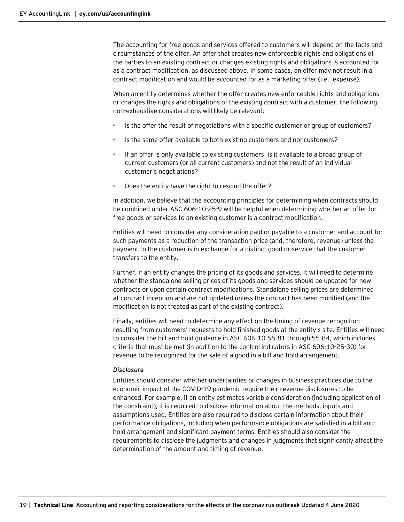The accounting for free goods and services offered to customers will depend on the facts and circumstances of the offer. An offer that creates new enforceable rights and obligations of the parties to an existing contract or changes existing rights and obligations is accounted for as a contract modification, as discussed above. In some cases, an offer may not result in a contract modification and would be accounted for as a marketing offer (i.e., expense).

When an entity determines whether the offer creates new enforceable rights and obligations or changes the rights and obligations of the existing contract with a customer, the following non-exhaustive considerations will likely be relevant:

- Is the offer the result of negotiations with a specific customer or group of customers?
- Is the same offer available to both existing customers and noncustomers?
- $\blacktriangleright$  If an offer is only available to existing customers, is it available to a broad group of current customers (or all current customers) and not the result of an individual customer's negotiations?
- Does the entity have the right to rescind the offer?

In addition, we believe that the accounting principles for determining when contracts should be combined under ASC 606-10-25-9 will be helpful when determining whether an offer for free goods or services to an existing customer is a contract modification.

Entities will need to consider any consideration paid or payable to a customer and account for such payments as a reduction of the transaction price (and, therefore, revenue) unless the payment to the customer is in exchange for a distinct good or service that the customer transfers to the entity.

Further, if an entity changes the pricing of its goods and services, it will need to determine whether the standalone selling prices of its goods and services should be updated for new contracts or upon certain contract modifications. Standalone selling prices are determined at contract inception and are not updated unless the contract has been modified (and the modification is not treated as part of the existing contract).

Finally, entities will need to determine any effect on the timing of revenue recognition resulting from customers' requests to hold finished goods at the entity's site. Entities will need to consider the bill-and-hold guidance in ASC 606-10-55-81 through 55-84, which includes criteria that must be met (in addition to the control indicators in ASC 606-10-25-30) for revenue to be recognized for the sale of a good in a bill-and-hold arrangement.

#### *Disclosure*

Entities should consider whether uncertainties or changes in business practices due to the economic impact of the COVID-19 pandemic require their revenue disclosures to be enhanced. For example, if an entity estimates variable consideration (including application of the constraint), it is required to disclose information about the methods, inputs and assumptions used. Entities are also required to disclose certain information about their performance obligations, including when performance obligations are satisfied in a bill-andhold arrangement and significant payment terms. Entities should also consider the requirements to disclose the judgments and changes in judgments that significantly affect the determination of the amount and timing of revenue.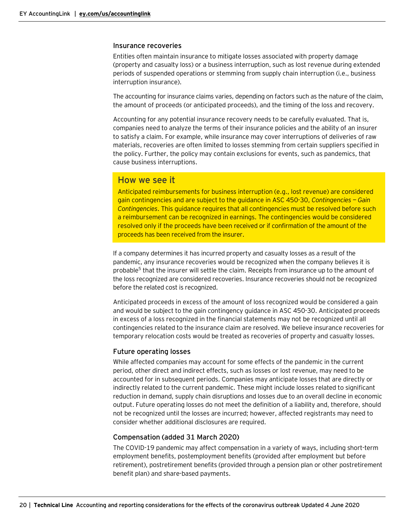#### <span id="page-19-0"></span>Insurance recoveries

Entities often maintain insurance to mitigate losses associated with property damage (property and casualty loss) or a business interruption, such as lost revenue during extended periods of suspended operations or stemming from supply chain interruption (i.e., business interruption insurance).

The accounting for insurance claims varies, depending on factors such as the nature of the claim, the amount of proceeds (or anticipated proceeds), and the timing of the loss and recovery.

Accounting for any potential insurance recovery needs to be carefully evaluated. That is, companies need to analyze the terms of their insurance policies and the ability of an insurer to satisfy a claim. For example, while insurance may cover interruptions of deliveries of raw materials, recoveries are often limited to losses stemming from certain suppliers specified in the policy. Further, the policy may contain exclusions for events, such as pandemics, that cause business interruptions.

# How we see it

Anticipated reimbursements for business interruption (e.g., lost revenue) are considered gain contingencies and are subject to the guidance in ASC 450-30, *Contingencies — Gain Contingencies*. This guidance requires that all contingencies must be resolved before such a reimbursement can be recognized in earnings. The contingencies would be considered resolved only if the proceeds have been received or if confirmation of the amount of the proceeds has been received from the insurer.

If a company determines it has incurred property and casualty losses as a result of the pandemic, any insurance recoveries would be recognized when the company believes it is probable<sup>5</sup> that the insurer will settle the claim. Receipts from insurance up to the amount of the loss recognized are considered recoveries. Insurance recoveries should not be recognized before the related cost is recognized.

Anticipated proceeds in excess of the amount of loss recognized would be considered a gain and would be subject to the gain contingency guidance in ASC [450-30.](https://eync-live-app.atlas.ey.com/#document/834345?pref=20011/9/147&crumb=6/SL45679420-549552/C_25865789/1586931) Anticipated proceeds in excess of a loss recognized in the financial statements may not be recognized until all contingencies related to the insurance claim are resolved. We believe insurance recoveries for temporary relocation costs would be treated as recoveries of property and casualty losses.

# <span id="page-19-1"></span>Future operating losses

While affected companies may account for some effects of the pandemic in the current period, other direct and indirect effects, such as losses or lost revenue, may need to be accounted for in subsequent periods. Companies may anticipate losses that are directly or indirectly related to the current pandemic. These might include losses related to significant reduction in demand, supply chain disruptions and losses due to an overall decline in economic output. Future operating losses do not meet the definition of a liability and, therefore, should not be recognized until the losses are incurred; however, affected registrants may need to consider whether additional disclosures are required.

# <span id="page-19-2"></span>Compensation (added 31 March 2020)

The COVID-19 pandemic may affect compensation in a variety of ways, including short-term employment benefits, postemployment benefits (provided after employment but before retirement), postretirement benefits (provided through a pension plan or other postretirement benefit plan) and share-based payments.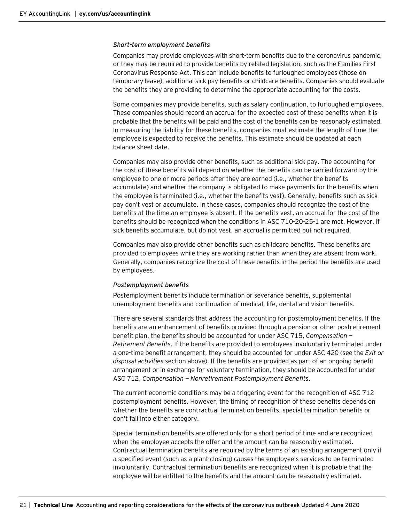#### *Short-term employment benefits*

Companies may provide employees with short-term benefits due to the coronavirus pandemic, or they may be required to provide benefits by related legislation, such as the Families First Coronavirus Response Act. This can include benefits to furloughed employees (those on temporary leave), additional sick pay benefits or childcare benefits. Companies should evaluate the benefits they are providing to determine the appropriate accounting for the costs.

Some companies may provide benefits, such as salary continuation, to furloughed employees. These companies should record an accrual for the expected cost of these benefits when it is probable that the benefits will be paid and the cost of the benefits can be reasonably estimated. In measuring the liability for these benefits, companies must estimate the length of time the employee is expected to receive the benefits. This estimate should be updated at each balance sheet date.

Companies may also provide other benefits, such as additional sick pay. The accounting for the cost of these benefits will depend on whether the benefits can be carried forward by the employee to one or more periods after they are earned (i.e., whether the benefits accumulate) and whether the company is obligated to make payments for the benefits when the employee is terminated (i.e., whether the benefits vest). Generally, benefits such as sick pay don't vest or accumulate. In these cases, companies should recognize the cost of the benefits at the time an employee is absent. If the benefits vest, an accrual for the cost of the benefits should be recognized when the conditions in ASC 710-20-25-1 are met. However, if sick benefits accumulate, but do not vest, an accrual is permitted but not required.

Companies may also provide other benefits such as childcare benefits. These benefits are provided to employees while they are working rather than when they are absent from work. Generally, companies recognize the cost of these benefits in the period the benefits are used by employees.

#### *Postemployment benefits*

Postemployment benefits include termination or severance benefits, supplemental unemployment benefits and continuation of medical, life, dental and vision benefits.

There are several standards that address the accounting for postemployment benefits. If the benefits are an enhancement of benefits provided through a pension or other postretirement benefit plan, the benefits should be accounted for under ASC 715, *Compensation — Retirement Benefits*. If the benefits are provided to employees involuntarily terminated under a one-time benefit arrangement, they should be accounted for under ASC 420 (see the *Exit or disposal activities* section above). If the benefits are provided as part of an ongoing benefit arrangement or in exchange for voluntary termination, they should be accounted for under ASC 712, *Compensation — Nonretirement Postemployment Benefits*.

The current economic conditions may be a triggering event for the recognition of ASC 712 postemployment benefits. However, the timing of recognition of these benefits depends on whether the benefits are contractual termination benefits, special termination benefits or don't fall into either category.

Special termination benefits are offered only for a short period of time and are recognized when the employee accepts the offer and the amount can be reasonably estimated. Contractual termination benefits are required by the terms of an existing arrangement only if a specified event (such as a plant closing) causes the employee's services to be terminated involuntarily. Contractual termination benefits are recognized when it is probable that the employee will be entitled to the benefits and the amount can be reasonably estimated.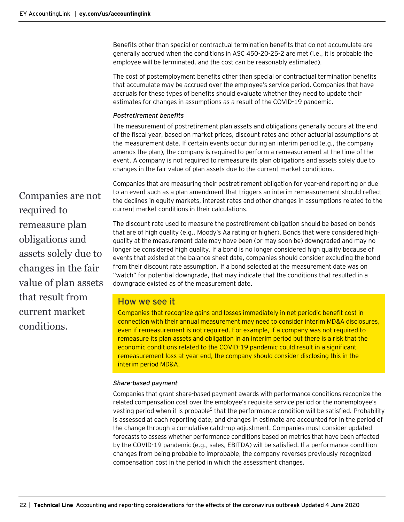Benefits other than special or contractual termination benefits that do not accumulate are generally accrued when the conditions in ASC 450-20-25-2 are met (i.e., it is probable the employee will be terminated, and the cost can be reasonably estimated).

The cost of postemployment benefits other than special or contractual termination benefits that accumulate may be accrued over the employee's service period. Companies that have accruals for these types of benefits should evaluate whether they need to update their estimates for changes in assumptions as a result of the COVID-19 pandemic.

## *Postretirement benefits*

The measurement of postretirement plan assets and obligations generally occurs at the end of the fiscal year, based on market prices, discount rates and other actuarial assumptions at the measurement date. If certain events occur during an interim period (e.g., the company amends the plan), the company is required to perform a remeasurement at the time of the event. A company is not required to remeasure its plan obligations and assets solely due to changes in the fair value of plan assets due to the current market conditions.

Companies that are measuring their postretirement obligation for year-end reporting or due to an event such as a plan amendment that triggers an interim remeasurement should reflect the declines in equity markets, interest rates and other changes in assumptions related to the current market conditions in their calculations.

The discount rate used to measure the postretirement obligation should be based on bonds that are of high quality (e.g., Moody's Aa rating or higher). Bonds that were considered highquality at the measurement date may have been (or may soon be) downgraded and may no longer be considered high quality. If a bond is no longer considered high quality because of events that existed at the balance sheet date, companies should consider excluding the bond from their discount rate assumption. If a bond selected at the measurement date was on "watch" for potential downgrade, that may indicate that the conditions that resulted in a downgrade existed as of the measurement date.

# How we see it

Companies that recognize gains and losses immediately in net periodic benefit cost in connection with their annual measurement may need to consider interim MD&A disclosures, even if remeasurement is not required. For example, if a company was not required to remeasure its plan assets and obligation in an interim period but there is a risk that the economic conditions related to the COVID-19 pandemic could result in a significant remeasurement loss at year end, the company should consider disclosing this in the interim period MD&A.

#### *Share-based payment*

Companies that grant share-based payment awards with performance conditions recognize the related compensation cost over the employee's requisite service period or the nonemployee's vesting period when it is probable<sup>5</sup> that the performance condition will be satisfied. Probability is assessed at each reporting date, and changes in estimate are accounted for in the period of the change through a cumulative catch-up adjustment. Companies must consider updated forecasts to assess whether performance conditions based on metrics that have been affected by the COVID-19 pandemic (e.g., sales, EBITDA) will be satisfied. If a performance condition changes from being probable to improbable, the company reverses previously recognized compensation cost in the period in which the assessment changes.

Companies are not required to remeasure plan obligations and assets solely due to changes in the fair value of plan assets that result from current market conditions.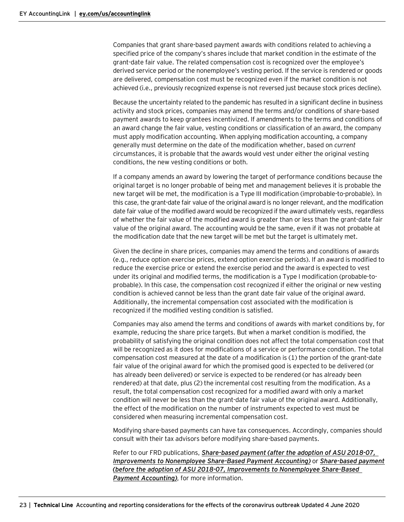Companies that grant share-based payment awards with conditions related to achieving a specified price of the company's shares include that market condition in the estimate of the grant-date fair value. The related compensation cost is recognized over the employee's derived service period or the nonemployee's vesting period. If the service is rendered or goods are delivered, compensation cost must be recognized even if the market condition is not achieved (i.e., previously recognized expense is not reversed just because stock prices decline).

Because the uncertainty related to the pandemic has resulted in a significant decline in business activity and stock prices, companies may amend the terms and/or conditions of share-based payment awards to keep grantees incentivized. If amendments to the terms and conditions of an award change the fair value, vesting conditions or classification of an award, the company must apply modification accounting. When applying modification accounting, a company generally must determine on the date of the modification whether, based on *current* circumstances, it is probable that the awards would vest under either the original vesting conditions, the new vesting conditions or both.

If a company amends an award by lowering the target of performance conditions because the original target is no longer probable of being met and management believes it is probable the new target will be met, the modification is a Type III modification (improbable-to-probable). In this case, the grant-date fair value of the original award is no longer relevant, and the modification date fair value of the modified award would be recognized if the award ultimately vests, regardless of whether the fair value of the modified award is greater than or less than the grant-date fair value of the original award. The accounting would be the same, even if it was not probable at the modification date that the new target will be met but the target is ultimately met.

Given the decline in share prices, companies may amend the terms and conditions of awards (e.g., reduce option exercise prices, extend option exercise periods). If an award is modified to reduce the exercise price or extend the exercise period and the award is expected to vest under its original and modified terms, the modification is a Type I modification (probable-toprobable). In this case, the compensation cost recognized if either the original or new vesting condition is achieved cannot be less than the grant date fair value of the original award. Additionally, the incremental compensation cost associated with the modification is recognized if the modified vesting condition is satisfied.

Companies may also amend the terms and conditions of awards with market conditions by, for example, reducing the share price targets. But when a market condition is modified, the probability of satisfying the original condition does not affect the total compensation cost that will be recognized as it does for modifications of a service or performance condition. The total compensation cost measured at the date of a modification is (1) the portion of the grant-date fair value of the original award for which the promised good is expected to be delivered (or has already been delivered) or service is expected to be rendered (or has already been rendered) at that date, plus (2) the incremental cost resulting from the modification. As a result, the total compensation cost recognized for a modified award with only a market condition will never be less than the grant-date fair value of the original award. Additionally, the effect of the modification on the number of instruments expected to vest must be considered when measuring incremental compensation cost.

Modifying share-based payments can have tax consequences. Accordingly, companies should consult with their tax advisors before modifying share-based payments.

Refer to our FRD publications, *[Share-based payment \(after the adoption of ASU 2018-07,](https://www.ey.com/en_us/assurance/accountinglink/financial-reporting-developments---share-based-payment--after-th)  [Improvements to Nonemployee Share-Based Payment Accounting\)](https://www.ey.com/en_us/assurance/accountinglink/financial-reporting-developments---share-based-payment--after-th)* or *[Share-based payment](https://www.ey.com/en_us/assurance/accountinglink/financial-reporting-developments---share-based-payment--before-t)  [\(before the adoption of ASU 2018-07, Improvements to Nonemployee Share-Based](https://www.ey.com/en_us/assurance/accountinglink/financial-reporting-developments---share-based-payment--before-t)  [Payment Accounting\)](https://www.ey.com/en_us/assurance/accountinglink/financial-reporting-developments---share-based-payment--before-t)*, for more information.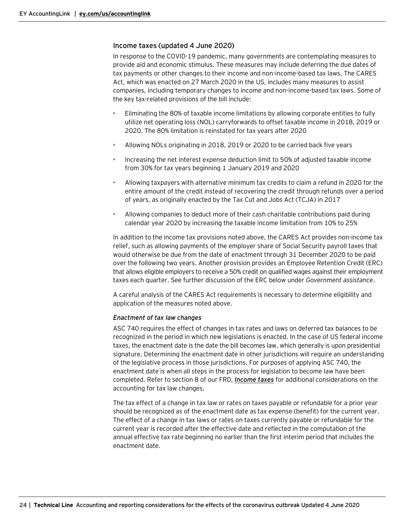# <span id="page-23-0"></span>Income taxes (updated 4 June 2020)

In response to the COVID-19 pandemic, many governments are contemplating measures to provide aid and economic stimulus. These measures may include deferring the due dates of tax payments or other changes to their income and non-income-based tax laws. The CARES Act, which was enacted on 27 March 2020 in the US, includes many measures to assist companies, including temporary changes to income and non-income-based tax laws. Some of the key tax-related provisions of the bill include:

- Eliminating the 80% of taxable income limitations by allowing corporate entities to fully utilize net operating loss (NOL) carryforwards to offset taxable income in 2018, 2019 or 2020. The 80% limitation is reinstated for tax years after 2020
- Allowing NOLs originating in 2018, 2019 or 2020 to be carried back five years
- Increasing the net interest expense deduction limit to 50% of adjusted taxable income from 30% for tax years beginning 1 January 2019 and 2020
- Allowing taxpayers with alternative minimum tax credits to claim a refund in 2020 for the entire amount of the credit instead of recovering the credit through refunds over a period of years, as originally enacted by the Tax Cut and Jobs Act (TCJA) in 2017
- Allowing companies to deduct more of their cash charitable contributions paid during calendar year 2020 by increasing the taxable income limitation from 10% to 25%

In addition to the income tax provisions noted above, the CARES Act provides non-income tax relief, such as allowing payments of the employer share of Social Security payroll taxes that would otherwise be due from the date of enactment through 31 December 2020 to be paid over the following two years. Another provision provides an Employee Retention Credit (ERC) that allows eligible employers to receive a 50% credit on qualified wages against their employment taxes each quarter. See further discussion of the ERC below under *Government assistance*.

A careful analysis of the CARES Act requirements is necessary to determine eligibility and application of the measures noted above.

#### *Enactment of tax law changes*

ASC 740 requires the effect of changes in tax rates and laws on deferred tax balances to be recognized in the period in which new legislations is enacted. In the case of US federal income taxes, the enactment date is the date the bill becomes law, which generally is upon presidential signature. Determining the enactment date in other jurisdictions will require an understanding of the legislative process in those jurisdictions. For purposes of applying ASC 740, the enactment date is when all steps in the process for legislation to become law have been completed. Refer to section 8 of our FRD, *[Income taxes](https://www.ey.com/en_us/assurance/accountinglink/financial-reporting-developments---income-taxes-)* for additional considerations on the accounting for tax law changes.

The tax effect of a change in tax law or rates on taxes payable or refundable for a prior year should be recognized as of the enactment date as tax expense (benefit) for the current year. The effect of a change in tax laws or rates on taxes currently payable or refundable for the current year is recorded after the effective date and reflected in the computation of the annual effective tax rate beginning no earlier than the first interim period that includes the enactment date.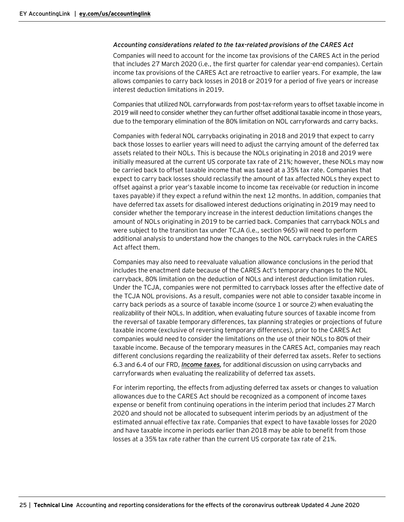#### *Accounting considerations related to the tax-related provisions of the CARES Act*

Companies will need to account for the income tax provisions of the CARES Act in the period that includes 27 March 2020 (i.e., the first quarter for calendar year-end companies). Certain income tax provisions of the CARES Act are retroactive to earlier years. For example, the law allows companies to carry back losses in 2018 or 2019 for a period of five years or increase interest deduction limitations in 2019.

Companies that utilized NOL carryforwards from post-tax-reform years to offset taxable income in 2019 will need to consider whether they can further offset additional taxable income in those years, due to the temporary elimination of the 80% limitation on NOL carryforwards and carry backs.

Companies with federal NOL carrybacks originating in 2018 and 2019 that expect to carry back those losses to earlier years will need to adjust the carrying amount of the deferred tax assets related to their NOLs. This is because the NOLs originating in 2018 and 2019 were initially measured at the current US corporate tax rate of 21%; however, these NOLs may now be carried back to offset taxable income that was taxed at a 35% tax rate. Companies that expect to carry back losses should reclassify the amount of tax affected NOLs they expect to offset against a prior year's taxable income to income tax receivable (or reduction in income taxes payable) if they expect a refund within the next 12 months. In addition, companies that have deferred tax assets for disallowed interest deductions originating in 2019 may need to consider whether the temporary increase in the interest deduction limitations changes the amount of NOLs originating in 2019 to be carried back. Companies that carryback NOLs and were subject to the transition tax under TCJA (i.e., section 965) will need to perform additional analysis to understand how the changes to the NOL carryback rules in the CARES Act affect them.

Companies may also need to reevaluate valuation allowance conclusions in the period that includes the enactment date because of the CARES Act's temporary changes to the NOL carryback, 80% limitation on the deduction of NOLs and interest deduction limitation rules. Under the TCJA, companies were not permitted to carryback losses after the effective date of the TCJA NOL provisions. As a result, companies were not able to consider taxable income in carry back periods as a source of taxable income (source 1 or source 2) when evaluating the realizability of their NOLs. In addition, when evaluating future sources of taxable income from the reversal of taxable temporary differences, tax planning strategies or projections of future taxable income (exclusive of reversing temporary differences), prior to the CARES Act companies would need to consider the limitations on the use of their NOLs to 80% of their taxable income. Because of the temporary measures in the CARES Act, companies may reach different conclusions regarding the realizability of their deferred tax assets. Refer to sections 6.3 and 6.4 of our FRD, *[Income taxes,](https://www.ey.com/en_us/assurance/accountinglink/financial-reporting-developments---income-taxes-)* for additional discussion on using carrybacks and carryforwards when evaluating the realizability of deferred tax assets.

For interim reporting, the effects from adjusting deferred tax assets or changes to valuation allowances due to the CARES Act should be recognized as a component of income taxes expense or benefit from continuing operations in the interim period that includes 27 March 2020 and should not be allocated to subsequent interim periods by an adjustment of the estimated annual effective tax rate. Companies that expect to have taxable losses for 2020 and have taxable income in periods earlier than 2018 may be able to benefit from those losses at a 35% tax rate rather than the current US corporate tax rate of 21%.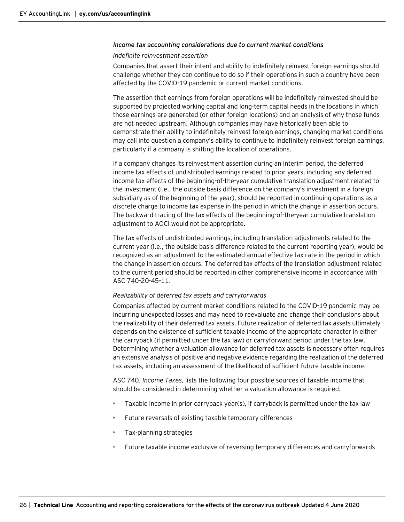#### *Income tax accounting considerations due to current market conditions*

#### *Indefinite reinvestment assertion*

Companies that assert their intent and ability to indefinitely reinvest foreign earnings should challenge whether they can continue to do so if their operations in such a country have been affected by the COVID-19 pandemic or current market conditions.

The assertion that earnings from foreign operations will be indefinitely reinvested should be supported by projected working capital and long-term capital needs in the locations in which those earnings are generated (or other foreign locations) and an analysis of why those funds are not needed upstream. Although companies may have historically been able to demonstrate their ability to indefinitely reinvest foreign earnings, changing market conditions may call into question a company's ability to continue to indefinitely reinvest foreign earnings, particularly if a company is shifting the location of operations.

If a company changes its reinvestment assertion during an interim period, the deferred income tax effects of undistributed earnings related to prior years, including any deferred income tax effects of the beginning-of-the-year cumulative translation adjustment related to the investment (i.e., the outside basis difference on the company's investment in a foreign subsidiary as of the beginning of the year), should be reported in continuing operations as a discrete charge to income tax expense in the period in which the change in assertion occurs. The backward tracing of the tax effects of the beginning-of-the-year cumulative translation adjustment to AOCI would not be appropriate.

The tax effects of undistributed earnings, including translation adjustments related to the current year (i.e., the outside basis difference related to the current reporting year), would be recognized as an adjustment to the estimated annual effective tax rate in the period in which the change in assertion occurs. The deferred tax effects of the translation adjustment related to the current period should be reported in other comprehensive income in accordance with ASC 740-20-45-11.

#### *Realizability of deferred tax assets and carryforwards*

Companies affected by current market conditions related to the COVID-19 pandemic may be incurring unexpected losses and may need to reevaluate and change their conclusions about the realizability of their deferred tax assets. Future realization of deferred tax assets ultimately depends on the existence of sufficient taxable income of the appropriate character in either the carryback (if permitted under the tax law) or carryforward period under the tax law. Determining whether a valuation allowance for deferred tax assets is necessary often requires an extensive analysis of positive and negative evidence regarding the realization of the deferred tax assets, including an assessment of the likelihood of sufficient future taxable income.

ASC 740, *Income Taxes*, lists the following four possible sources of taxable income that should be considered in determining whether a valuation allowance is required:

- Taxable income in prior carryback year(s), if carryback is permitted under the tax law
- Future reversals of existing taxable temporary differences
- Tax-planning strategies
- Future taxable income exclusive of reversing temporary differences and carryforwards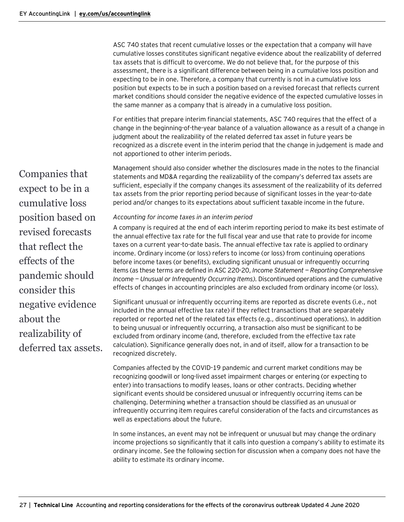ASC 740 states that recent cumulative losses or the expectation that a company will have cumulative losses constitutes significant negative evidence about the realizability of deferred tax assets that is difficult to overcome. We do not believe that, for the purpose of this assessment, there is a significant difference between being in a cumulative loss position and expecting to be in one. Therefore, a company that currently is not in a cumulative loss position but expects to be in such a position based on a revised forecast that reflects current market conditions should consider the negative evidence of the expected cumulative losses in the same manner as a company that is already in a cumulative loss position.

For entities that prepare interim financial statements, ASC 740 requires that the effect of a change in the beginning-of-the-year balance of a valuation allowance as a result of a change in judgment about the realizability of the related deferred tax asset in future years be recognized as a discrete event in the interim period that the change in judgement is made and not apportioned to other interim periods.

Management should also consider whether the disclosures made in the notes to the financial statements and MD&A regarding the realizability of the company's deferred tax assets are sufficient, especially if the company changes its assessment of the realizability of its deferred tax assets from the prior reporting period because of significant losses in the year-to-date period and/or changes to its expectations about sufficient taxable income in the future.

#### *Accounting for income taxes in an interim period*

A company is required at the end of each interim reporting period to make its best estimate of the annual effective tax rate for the full fiscal year and use that rate to provide for income taxes on a current year-to-date basis. The annual effective tax rate is applied to ordinary income. Ordinary income (or loss) refers to income (or loss) from continuing operations before income taxes (or benefits), excluding significant unusual or infrequently occurring items (as these terms are defined in ASC 220-20, *Income Statement — Reporting Comprehensive Income — Unusual or Infrequently Occurring Items)*. Discontinued operations and the cumulative effects of changes in accounting principles are also excluded from ordinary income (or loss).

Significant unusual or infrequently occurring items are reported as discrete events (i.e., not included in the annual effective tax rate) if they reflect transactions that are separately reported or reported net of the related tax effects (e.g., discontinued operations). In addition to being unusual or infrequently occurring, a transaction also must be significant to be excluded from ordinary income (and, therefore, excluded from the effective tax rate calculation). Significance generally does not, in and of itself, allow for a transaction to be recognized discretely.

Companies affected by the COVID-19 pandemic and current market conditions may be recognizing goodwill or long-lived asset impairment charges or entering (or expecting to enter) into transactions to modify leases, loans or other contracts. Deciding whether significant events should be considered unusual or infrequently occurring items can be challenging. Determining whether a transaction should be classified as an unusual or infrequently occurring item requires careful consideration of the facts and circumstances as well as expectations about the future.

In some instances, an event may not be infrequent or unusual but may change the ordinary income projections so significantly that it calls into question a company's ability to estimate its ordinary income. See the following section for discussion when a company does not have the ability to estimate its ordinary income.

Companies that expect to be in a cumulative loss position based on revised forecasts that reflect the effects of the pandemic should consider this negative evidence about the realizability of deferred tax assets.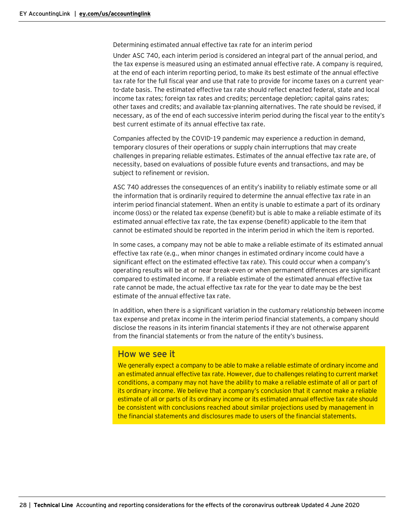Determining estimated annual effective tax rate for an interim period

Under ASC 740, each interim period is considered an integral part of the annual period, and the tax expense is measured using an estimated annual effective rate. A company is required, at the end of each interim reporting period, to make its best estimate of the annual effective tax rate for the full fiscal year and use that rate to provide for income taxes on a current yearto-date basis. The estimated effective tax rate should reflect enacted federal, state and local income tax rates; foreign tax rates and credits; percentage depletion; capital gains rates; other taxes and credits; and available tax-planning alternatives. The rate should be revised, if necessary, as of the end of each successive interim period during the fiscal year to the entity's best current estimate of its annual effective tax rate.

Companies affected by the COVID-19 pandemic may experience a reduction in demand, temporary closures of their operations or supply chain interruptions that may create challenges in preparing reliable estimates. Estimates of the annual effective tax rate are, of necessity, based on evaluations of possible future events and transactions, and may be subject to refinement or revision.

ASC 740 addresses the consequences of an entity's inability to reliably estimate some or all the information that is ordinarily required to determine the annual effective tax rate in an interim period financial statement. When an entity is unable to estimate a part of its ordinary income (loss) or the related tax expense (benefit) but is able to make a reliable estimate of its estimated annual effective tax rate, the tax expense (benefit) applicable to the item that cannot be estimated should be reported in the interim period in which the item is reported.

In some cases, a company may not be able to make a reliable estimate of its estimated annual effective tax rate (e.g., when minor changes in estimated ordinary income could have a significant effect on the estimated effective tax rate). This could occur when a company's operating results will be at or near break-even or when permanent differences are significant compared to estimated income. If a reliable estimate of the estimated annual effective tax rate cannot be made, the actual effective tax rate for the year to date may be the best estimate of the annual effective tax rate.

In addition, when there is a significant variation in the customary relationship between income tax expense and pretax income in the interim period financial statements, a company should disclose the reasons in its interim financial statements if they are not otherwise apparent from the financial statements or from the nature of the entity's business.

# How we see it

We generally expect a company to be able to make a reliable estimate of ordinary income and an estimated annual effective tax rate. However, due to challenges relating to current market conditions, a company may not have the ability to make a reliable estimate of all or part of its ordinary income. We believe that a company's conclusion that it cannot make a reliable estimate of all or parts of its ordinary income or its estimated annual effective tax rate should be consistent with conclusions reached about similar projections used by management in the financial statements and disclosures made to users of the financial statements.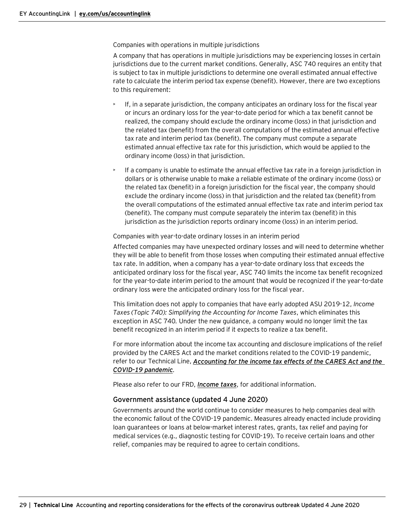Companies with operations in multiple jurisdictions

A company that has operations in multiple jurisdictions may be experiencing losses in certain jurisdictions due to the current market conditions. Generally, ASC 740 requires an entity that is subject to tax in multiple jurisdictions to determine one overall estimated annual effective rate to calculate the interim period tax expense (benefit). However, there are two exceptions to this requirement:

- If, in a separate jurisdiction, the company anticipates an ordinary loss for the fiscal year or incurs an ordinary loss for the year-to-date period for which a tax benefit cannot be realized, the company should exclude the ordinary income (loss) in that jurisdiction and the related tax (benefit) from the overall computations of the estimated annual effective tax rate and interim period tax (benefit). The company must compute a separate estimated annual effective tax rate for this jurisdiction, which would be applied to the ordinary income (loss) in that jurisdiction.
- If a company is unable to estimate the annual effective tax rate in a foreign jurisdiction in dollars or is otherwise unable to make a reliable estimate of the ordinary income (loss) or the related tax (benefit) in a foreign jurisdiction for the fiscal year, the company should exclude the ordinary income (loss) in that jurisdiction and the related tax (benefit) from the overall computations of the estimated annual effective tax rate and interim period tax (benefit). The company must compute separately the interim tax (benefit) in this jurisdiction as the jurisdiction reports ordinary income (loss) in an interim period.

#### Companies with year-to-date ordinary losses in an interim period

Affected companies may have unexpected ordinary losses and will need to determine whether they will be able to benefit from those losses when computing their estimated annual effective tax rate. In addition, when a company has a year-to-date ordinary loss that exceeds the anticipated ordinary loss for the fiscal year, ASC 740 limits the income tax benefit recognized for the year-to-date interim period to the amount that would be recognized if the year-to-date ordinary loss were the anticipated ordinary loss for the fiscal year.

This limitation does not apply to companies that have early adopted ASU 2019-12, *Income Taxes (Topic 740): Simplifying the Accounting for Income Taxes*, which eliminates this exception in ASC 740*.* Under the new guidance, a company would no longer limit the tax benefit recognized in an interim period if it expects to realize a tax benefit.

For more information about the income tax accounting and disclosure implications of the relief provided by the CARES Act and the market conditions related to the COVID-19 pandemic, refer to our Technical Line, *[Accounting for the income tax effects of the CARES Act and the](https://www.ey.com/en_us/assurance/accountinglink/technical-line---accounting-for-the-income-tax-effects-of-thecar)  [COVID-19 pandemic](https://www.ey.com/en_us/assurance/accountinglink/technical-line---accounting-for-the-income-tax-effects-of-thecar).*

Please also refer to our FRD, *[Income taxes](https://www.ey.com/en_us/assurance/accountinglink/financial-reporting-developments---income-taxes-)*, for additional information.

#### <span id="page-28-0"></span>Government assistance (updated 4 June 2020)

Governments around the world continue to consider measures to help companies deal with the economic fallout of the COVID-19 pandemic. Measures already enacted include providing loan guarantees or loans at below-market interest rates, grants, tax relief and paying for medical services (e.g., diagnostic testing for COVID-19). To receive certain loans and other relief, companies may be required to agree to certain conditions.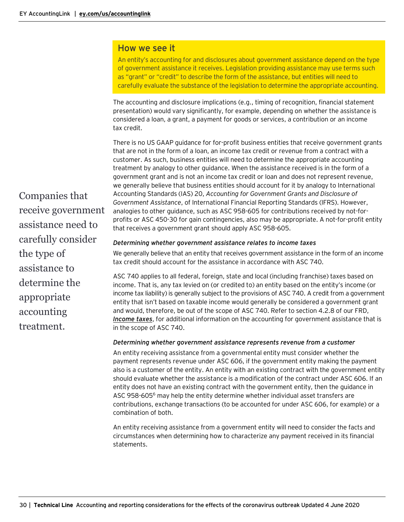# How we see it

An entity's accounting for and disclosures about government assistance depend on the type of government assistance it receives. Legislation providing assistance may use terms such as "grant" or "credit" to describe the form of the assistance, but entities will need to carefully evaluate the substance of the legislation to determine the appropriate accounting.

The accounting and disclosure implications (e.g., timing of recognition, financial statement presentation) would vary significantly, for example, depending on whether the assistance is considered a loan, a grant, a payment for goods or services, a contribution or an income tax credit.

There is no US GAAP guidance for for-profit business entities that receive government grants that are not in the form of a loan, an income tax credit or revenue from a contract with a customer. As such, business entities will need to determine the appropriate accounting treatment by analogy to other guidance. When the assistance received is in the form of a government grant and is not an income tax credit or loan and does not represent revenue, we generally believe that business entities should account for it by analogy to International Accounting Standards (IAS) 20, *Accounting for Government Grants and Disclosure of Government Assistance*, of International Financial Reporting Standards (IFRS). However, analogies to other guidance, such as ASC 958-605 for contributions received by not-forprofits or ASC 450-30 for gain contingencies, also may be appropriate. A not-for-profit entity that receives a government grant should apply ASC 958-605.

## *Determining whether government assistance relates to income taxes*

We generally believe that an entity that receives government assistance in the form of an income tax credit should account for the assistance in accordance with ASC 740.

ASC 740 applies to all federal, foreign, state and local (including franchise) taxes based on income. That is, any tax levied on (or credited to) an entity based on the entity's income (or income tax liability) is generally subject to the provisions of ASC 740. A credit from a government entity that isn't based on taxable income would generally be considered a government grant and would, therefore, be out of the scope of ASC 740. Refer to section 4.2.8 of our FRD, *[Income taxes](https://www.ey.com/en_us/assurance/accountinglink/financial-reporting-developments---income-taxes-)*, for additional information on the accounting for government assistance that is in the scope of ASC 740.

#### *Determining whether government assistance represents revenue from a customer*

An entity receiving assistance from a governmental entity must consider whether the payment represents revenue under ASC 606, if the government entity making the payment also is a customer of the entity. An entity with an existing contract with the government entity should evaluate whether the assistance is a modification of the contract under ASC 606. If an entity does not have an existing contract with the government entity, then the guidance in ASC 958-605<sup>6</sup> may help the entity determine whether individual asset transfers are contributions, exchange transactions (to be accounted for under ASC 606, for example) or a combination of both.

An entity receiving assistance from a government entity will need to consider the facts and circumstances when determining how to characterize any payment received in its financial statements.

Companies that receive government assistance need to carefully consider the type of assistance to determine the appropriate accounting treatment.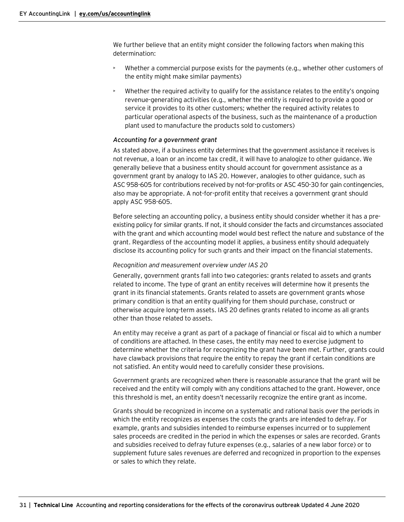We further believe that an entity might consider the following factors when making this determination:

- Whether a commercial purpose exists for the payments (e.g., whether other customers of the entity might make similar payments)
- Whether the required activity to qualify for the assistance relates to the entity's ongoing revenue-generating activities (e.g., whether the entity is required to provide a good or service it provides to its other customers; whether the required activity relates to particular operational aspects of the business, such as the maintenance of a production plant used to manufacture the products sold to customers)

#### *Accounting for a government grant*

As stated above, if a business entity determines that the government assistance it receives is not revenue, a loan or an income tax credit, it will have to analogize to other guidance. We generally believe that a business entity should account for government assistance as a government grant by analogy to IAS 20. However, analogies to other guidance, such as ASC 958-605 for contributions received by not-for-profits or ASC 450-30 for gain contingencies, also may be appropriate. A not-for-profit entity that receives a government grant should apply ASC 958-605.

Before selecting an accounting policy, a business entity should consider whether it has a preexisting policy for similar grants. If not, it should consider the facts and circumstances associated with the grant and which accounting model would best reflect the nature and substance of the grant. Regardless of the accounting model it applies, a business entity should adequately disclose its accounting policy for such grants and their impact on the financial statements.

#### *Recognition and measurement overview under IAS 20*

Generally, government grants fall into two categories: grants related to assets and grants related to income. The type of grant an entity receives will determine how it presents the grant in its financial statements. Grants related to assets are government grants whose primary condition is that an entity qualifying for them should purchase, construct or otherwise acquire long-term assets. IAS 20 defines grants related to income as all grants other than those related to assets.

An entity may receive a grant as part of a package of financial or fiscal aid to which a number of conditions are attached. In these cases, the entity may need to exercise judgment to determine whether the criteria for recognizing the grant have been met. Further, grants could have clawback provisions that require the entity to repay the grant if certain conditions are not satisfied. An entity would need to carefully consider these provisions.

Government grants are recognized when there is reasonable assurance that the grant will be received and the entity will comply with any conditions attached to the grant. However, once this threshold is met, an entity doesn't necessarily recognize the entire grant as income.

Grants should be recognized in income on a systematic and rational basis over the periods in which the entity recognizes as expenses the costs the grants are intended to defray. For example, grants and subsidies intended to reimburse expenses incurred or to supplement sales proceeds are credited in the period in which the expenses or sales are recorded. Grants and subsidies received to defray future expenses (e.g., salaries of a new labor force) or to supplement future sales revenues are deferred and recognized in proportion to the expenses or sales to which they relate.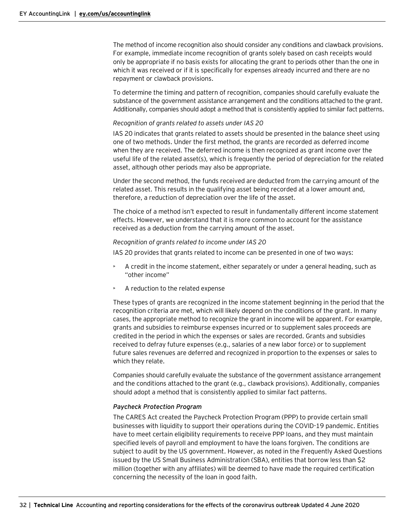The method of income recognition also should consider any conditions and clawback provisions. For example, immediate income recognition of grants solely based on cash receipts would only be appropriate if no basis exists for allocating the grant to periods other than the one in which it was received or if it is specifically for expenses already incurred and there are no repayment or clawback provisions.

To determine the timing and pattern of recognition, companies should carefully evaluate the substance of the government assistance arrangement and the conditions attached to the grant. Additionally, companies should adopt a method that is consistently applied to similar fact patterns.

#### *Recognition of grants related to assets under IAS 20*

IAS 20 indicates that grants related to assets should be presented in the balance sheet using one of two methods. Under the first method, the grants are recorded as deferred income when they are received. The deferred income is then recognized as grant income over the useful life of the related asset(s), which is frequently the period of depreciation for the related asset, although other periods may also be appropriate.

Under the second method, the funds received are deducted from the carrying amount of the related asset. This results in the qualifying asset being recorded at a lower amount and, therefore, a reduction of depreciation over the life of the asset.

The choice of a method isn't expected to result in fundamentally different income statement effects. However, we understand that it is more common to account for the assistance received as a deduction from the carrying amount of the asset.

#### *Recognition of grants related to income under IAS 20*

IAS 20 provides that grants related to income can be presented in one of two ways:

- A credit in the income statement, either separately or under a general heading, such as "other income"
- A reduction to the related expense

These types of grants are recognized in the income statement beginning in the period that the recognition criteria are met, which will likely depend on the conditions of the grant. In many cases, the appropriate method to recognize the grant in income will be apparent. For example, grants and subsidies to reimburse expenses incurred or to supplement sales proceeds are credited in the period in which the expenses or sales are recorded. Grants and subsidies received to defray future expenses (e.g., salaries of a new labor force) or to supplement future sales revenues are deferred and recognized in proportion to the expenses or sales to which they relate.

Companies should carefully evaluate the substance of the government assistance arrangement and the conditions attached to the grant (e.g., clawback provisions). Additionally, companies should adopt a method that is consistently applied to similar fact patterns.

#### *Paycheck Protection Program*

The CARES Act created the Paycheck Protection Program (PPP) to provide certain small businesses with liquidity to support their operations during the COVID-19 pandemic. Entities have to meet certain eligibility requirements to receive PPP loans, and they must maintain specified levels of payroll and employment to have the loans forgiven. The conditions are subject to audit by the US government. However, as noted in the Frequently Asked Questions issued by the US Small Business Administration (SBA), entities that borrow less than \$2 million (together with any affiliates) will be deemed to have made the required certification concerning the necessity of the loan in good faith.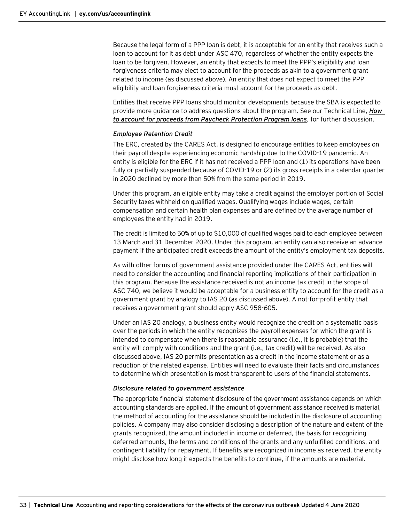Because the legal form of a PPP loan is debt, it is acceptable for an entity that receives such a loan to account for it as debt under ASC 470, regardless of whether the entity expects the loan to be forgiven. However, an entity that expects to meet the PPP's eligibility and loan forgiveness criteria may elect to account for the proceeds as akin to a government grant related to income (as discussed above). An entity that does not expect to meet the PPP eligibility and loan forgiveness criteria must account for the proceeds as debt.

Entities that receive PPP loans should monitor developments because the SBA is expected to provide more guidance to address questions about the program. See our Technical Line, *[How](https://www.ey.com/en_us/assurance/accountinglink/technical-line---how-to-account-for-proceeds-from-paycheck-prote)  [to account for proceeds from Paycheck Protection Program loans](https://www.ey.com/en_us/assurance/accountinglink/technical-line---how-to-account-for-proceeds-from-paycheck-prote)*, for further discussion.

## *Employee Retention Credit*

The ERC, created by the CARES Act, is designed to encourage entities to keep employees on their payroll despite experiencing economic hardship due to the COVID-19 pandemic. An entity is eligible for the ERC if it has not received a PPP loan and (1) its operations have been fully or partially suspended because of COVID-19 or (2) its gross receipts in a calendar quarter in 2020 declined by more than 50% from the same period in 2019.

Under this program, an eligible entity may take a credit against the employer portion of Social Security taxes withheld on qualified wages. Qualifying wages include wages, certain compensation and certain health plan expenses and are defined by the average number of employees the entity had in 2019.

The credit is limited to 50% of up to \$10,000 of qualified wages paid to each employee between 13 March and 31 December 2020. Under this program, an entity can also receive an advance payment if the anticipated credit exceeds the amount of the entity's employment tax deposits.

As with other forms of government assistance provided under the CARES Act, entities will need to consider the accounting and financial reporting implications of their participation in this program. Because the assistance received is not an income tax credit in the scope of ASC 740, we believe it would be acceptable for a business entity to account for the credit as a government grant by analogy to IAS 20 (as discussed above). A not-for-profit entity that receives a government grant should apply ASC 958-605.

Under an IAS 20 analogy, a business entity would recognize the credit on a systematic basis over the periods in which the entity recognizes the payroll expenses for which the grant is intended to compensate when there is reasonable assurance (i.e., it is probable) that the entity will comply with conditions and the grant (i.e., tax credit) will be received. As also discussed above, IAS 20 permits presentation as a credit in the income statement or as a reduction of the related expense. Entities will need to evaluate their facts and circumstances to determine which presentation is most transparent to users of the financial statements.

#### *Disclosure related to government assistance*

The appropriate financial statement disclosure of the government assistance depends on which accounting standards are applied. If the amount of government assistance received is material, the method of accounting for the assistance should be included in the disclosure of accounting policies. A company may also consider disclosing a description of the nature and extent of the grants recognized, the amount included in income or deferred, the basis for recognizing deferred amounts, the terms and conditions of the grants and any unfulfilled conditions, and contingent liability for repayment. If benefits are recognized in income as received, the entity might disclose how long it expects the benefits to continue, if the amounts are material.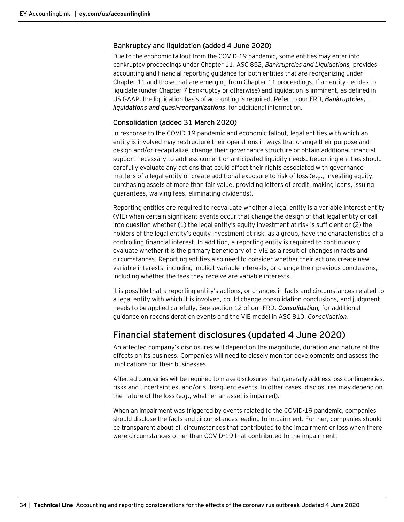## <span id="page-33-0"></span>Bankruptcy and liquidation (added 4 June 2020)

Due to the economic fallout from the COVID-19 pandemic, some entities may enter into bankruptcy proceedings under Chapter 11. ASC 852, *Bankruptcies and Liquidations,* provides accounting and financial reporting guidance for both entities that are reorganizing under Chapter 11 and those that are emerging from Chapter 11 proceedings. If an entity decides to liquidate (under Chapter 7 bankruptcy or otherwise) and liquidation is imminent, as defined in US GAAP, the liquidation basis of accounting is required. Refer to our FRD, *[Bankruptcies,](https://www.ey.com/en_us/assurance/accountinglink/financial-reporting-developments---bankruptcies--liquidations-an)  [liquidations and quasi-reorganizations](https://www.ey.com/en_us/assurance/accountinglink/financial-reporting-developments---bankruptcies--liquidations-an)*, for additional information.

# <span id="page-33-1"></span>Consolidation (added 31 March 2020)

In response to the COVID-19 pandemic and economic fallout, legal entities with which an entity is involved may restructure their operations in ways that change their purpose and design and/or recapitalize, change their governance structure or obtain additional financial support necessary to address current or anticipated liquidity needs. Reporting entities should carefully evaluate any actions that could affect their rights associated with governance matters of a legal entity or create additional exposure to risk of loss (e.g., investing equity, purchasing assets at more than fair value, providing letters of credit, making loans, issuing guarantees, waiving fees, eliminating dividends).

Reporting entities are required to reevaluate whether a legal entity is a variable interest entity (VIE) when certain significant events occur that change the design of that legal entity or call into question whether (1) the legal entity's equity investment at risk is sufficient or (2) the holders of the legal entity's equity investment at risk, as a group, have the characteristics of a controlling financial interest. In addition, a reporting entity is required to continuously evaluate whether it is the primary beneficiary of a VIE as a result of changes in facts and circumstances. Reporting entities also need to consider whether their actions create new variable interests, including implicit variable interests, or change their previous conclusions, including whether the fees they receive are variable interests.

It is possible that a reporting entity's actions, or changes in facts and circumstances related to a legal entity with which it is involved, could change consolidation conclusions, and judgment needs to be applied carefully. See section 12 of our FRD, *[Consolidation](https://www.ey.com/en_us/assurance/accountinglink/financial-reporting-developments---consolidation--determination-),* for additional guidance on reconsideration events and the VIE model in ASC 810, *Consolidation*.

# <span id="page-33-2"></span>Financial statement disclosures (updated 4 June 2020)

An affected company's disclosures will depend on the magnitude, duration and nature of the effects on its business. Companies will need to closely monitor developments and assess the implications for their businesses.

Affected companies will be required to make disclosures that generally address loss contingencies, risks and uncertainties, and/or subsequent events. In other cases, disclosures may depend on the nature of the loss (e.g., whether an asset is impaired).

When an impairment was triggered by events related to the COVID-19 pandemic, companies should disclose the facts and circumstances leading to impairment. Further, companies should be transparent about all circumstances that contributed to the impairment or loss when there were circumstances other than COVID-19 that contributed to the impairment.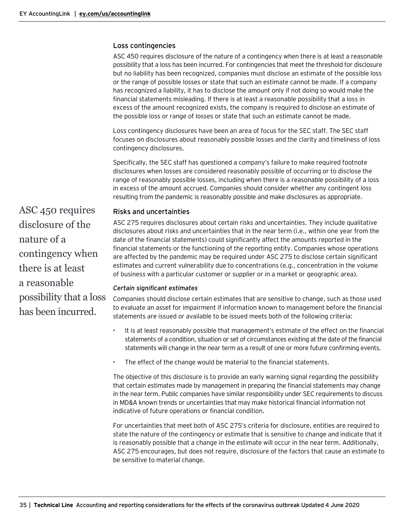### <span id="page-34-0"></span>Loss contingencies

ASC 450 requires disclosure of the nature of a contingency when there is at least a reasonable possibility that a loss has been incurred. For contingencies that meet the threshold for disclosure but no liability has been recognized, companies must disclose an estimate of the possible loss or the range of possible losses or state that such an estimate cannot be made. If a company has recognized a liability, it has to disclose the amount only if not doing so would make the financial statements misleading. If there is at least a reasonable possibility that a loss in excess of the amount recognized exists, the company is required to disclose an estimate of the possible loss or range of losses or state that such an estimate cannot be made.

Loss contingency disclosures have been an area of focus for the SEC staff. The SEC staff focuses on disclosures about reasonably possible losses and the clarity and timeliness of loss contingency disclosures.

Specifically, the SEC staff has questioned a company's failure to make required footnote disclosures when losses are considered reasonably possible of occurring or to disclose the range of reasonably possible losses, including when there is a reasonable possibility of a loss in excess of the amount accrued. Companies should consider whether any contingent loss resulting from the pandemic is reasonably possible and make disclosures as appropriate.

# <span id="page-34-1"></span>Risks and uncertainties

ASC 275 requires disclosures about certain risks and uncertainties. They include qualitative disclosures about risks and uncertainties that in the near term (i.e., within one year from the date of the financial statements) could significantly affect the amounts reported in the financial statements or the functioning of the reporting entity. Companies whose operations are affected by the pandemic may be required under ASC 275 to disclose certain significant estimates and current vulnerability due to concentrations (e.g., concentration in the volume of business with a particular customer or supplier or in a market or geographic area).

# *Certain significant estimates*

Companies should disclose certain estimates that are sensitive to change, such as those used to evaluate an asset for impairment if information known to management before the financial statements are issued or available to be issued meets both of the following criteria:

- It is at least reasonably possible that management's estimate of the effect on the financial statements of a condition, situation or set of circumstances existing at the date of the financial statements will change in the near term as a result of one or more future confirming events.
- The effect of the change would be material to the financial statements.

The objective of this disclosure is to provide an early warning signal regarding the possibility that certain estimates made by management in preparing the financial statements may change in the near term. Public companies have similar responsibility under SEC requirements to discuss in MD&A known trends or uncertainties that may make historical financial information not indicative of future operations or financial condition.

For uncertainties that meet both of ASC 275's criteria for disclosure, entities are required to state the nature of the contingency or estimate that is sensitive to change and indicate that it is reasonably possible that a change in the estimate will occur in the near term. Additionally, ASC 275 encourages, but does not require, disclosure of the factors that cause an estimate to be sensitive to material change.

ASC 450 requires disclosure of the nature of a contingency when there is at least a reasonable possibility that a loss has been incurred.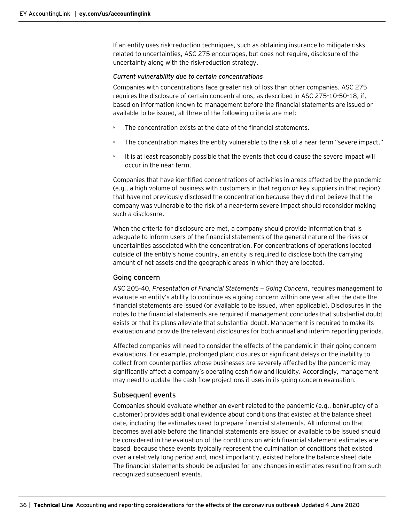If an entity uses risk-reduction techniques, such as obtaining insurance to mitigate risks related to uncertainties, ASC 275 encourages, but does not require, disclosure of the uncertainty along with the risk-reduction strategy.

#### *Current vulnerability due to certain concentrations*

Companies with concentrations face greater risk of loss than other companies. ASC 275 requires the disclosure of certain concentrations, as described in ASC 275-10-50-18, if, based on information known to management before the financial statements are issued or available to be issued, all three of the following criteria are met:

- The concentration exists at the date of the financial statements.
- The concentration makes the entity vulnerable to the risk of a near-term "severe impact."
- It is at least reasonably possible that the events that could cause the severe impact will occur in the near term.

Companies that have identified concentrations of activities in areas affected by the pandemic (e.g., a high volume of business with customers in that region or key suppliers in that region) that have not previously disclosed the concentration because they did not believe that the company was vulnerable to the risk of a near-term severe impact should reconsider making such a disclosure.

When the criteria for disclosure are met, a company should provide information that is adequate to inform users of the financial statements of the general nature of the risks or uncertainties associated with the concentration. For concentrations of operations located outside of the entity's home country, an entity is required to disclose both the carrying amount of net assets and the geographic areas in which they are located.

#### <span id="page-35-0"></span>Going concern

ASC 205-40, *Presentation of Financial Statements — Going Concern*, requires management to evaluate an entity's ability to continue as a going concern within one year after the date the financial statements are issued (or available to be issued, when applicable). Disclosures in the notes to the financial statements are required if management concludes that substantial doubt exists or that its plans alleviate that substantial doubt. Management is required to make its evaluation and provide the relevant disclosures for both annual and interim reporting periods.

Affected companies will need to consider the effects of the pandemic in their going concern evaluations. For example, prolonged plant closures or significant delays or the inability to collect from counterparties whose businesses are severely affected by the pandemic may significantly affect a company's operating cash flow and liquidity. Accordingly, management may need to update the cash flow projections it uses in its going concern evaluation.

## <span id="page-35-1"></span>Subsequent events

Companies should evaluate whether an event related to the pandemic (e.g., bankruptcy of a customer) provides additional evidence about conditions that existed at the balance sheet date, including the estimates used to prepare financial statements. All information that becomes available before the financial statements are issued or available to be issued should be considered in the evaluation of the conditions on which financial statement estimates are based, because these events typically represent the culmination of conditions that existed over a relatively long period and, most importantly, existed before the balance sheet date. The financial statements should be adjusted for any changes in estimates resulting from such recognized subsequent events.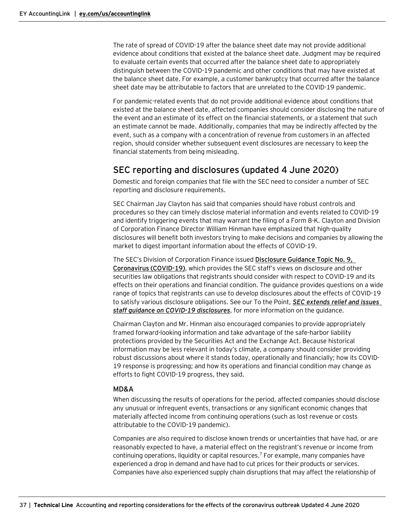The rate of spread of COVID-19 after the balance sheet date may not provide additional evidence about conditions that existed at the balance sheet date. Judgment may be required to evaluate certain events that occurred after the balance sheet date to appropriately distinguish between the COVID-19 pandemic and other conditions that may have existed at the balance sheet date. For example, a customer bankruptcy that occurred after the balance sheet date may be attributable to factors that are unrelated to the COVID-19 pandemic.

For pandemic-related events that do not provide additional evidence about conditions that existed at the balance sheet date, affected companies should consider disclosing the nature of the event and an estimate of its effect on the financial statements, or a statement that such an estimate cannot be made. Additionally, companies that may be indirectly affected by the event, such as a company with a concentration of revenue from customers in an affected region, should consider whether subsequent event disclosures are necessary to keep the financial statements from being misleading.

# <span id="page-36-0"></span>SEC reporting and disclosures (updated 4 June 2020)

Domestic and foreign companies that file with the SEC need to consider a number of SEC reporting and disclosure requirements.

SEC Chairman Jay Clayton has said that companies should have robust controls and procedures so they can timely disclose material information and events related to COVID-19 and identify triggering events that may warrant the filing of a Form 8-K. Clayton and Division of Corporation Finance Director William Hinman have emphasized that high-quality disclosures will benefit both investors trying to make decisions and companies by allowing the market to digest important information about the effects of COVID-19.

The SEC's Division of Corporation Finance issued **[Disclosure Guidance Topic](https://www.sec.gov/corpfin/coronavirus-covid-19) No. 9, [Coronavirus \(COVID-19\)](https://www.sec.gov/corpfin/coronavirus-covid-19)**, which provides the SEC staff's views on disclosure and other securities law obligations that registrants should consider with respect to COVID-19 and its effects on their operations and financial condition. The guidance provides questions on a wide range of topics that registrants can use to develop disclosures about the effects of COVID-19 to satisfy various disclosure obligations. See our To the Point, *[SEC extends relief and issues](https://www.ey.com/en_us/assurance/accountinglink/to-the-point---sec-extends-relief-and-issues-staff-guidance-on-c)  [staff guidance on COVID-19 disclosures](https://www.ey.com/en_us/assurance/accountinglink/to-the-point---sec-extends-relief-and-issues-staff-guidance-on-c)*, for more information on the guidance.

Chairman Clayton and Mr. Hinman also encouraged companies to provide appropriately framed forward-looking information and take advantage of the safe-harbor liability protections provided by the Securities Act and the Exchange Act. Because historical information may be less relevant in today's climate, a company should consider providing robust discussions about where it stands today, operationally and financially; how its COVID-19 response is progressing; and how its operations and financial condition may change as efforts to fight COVID-19 progress, they said.

#### <span id="page-36-1"></span>MD&A

When discussing the results of operations for the period, affected companies should disclose any unusual or infrequent events, transactions or any significant economic changes that materially affected income from continuing operations (such as lost revenue or costs attributable to the COVID-19 pandemic).

Companies are also required to disclose known trends or uncertainties that have had, or are reasonably expected to have, a material effect on the registrant's revenue or income from continuing operations, liquidity or capital resources.7 For example, many companies have experienced a drop in demand and have had to cut prices for their products or services. Companies have also experienced supply chain disruptions that may affect the relationship of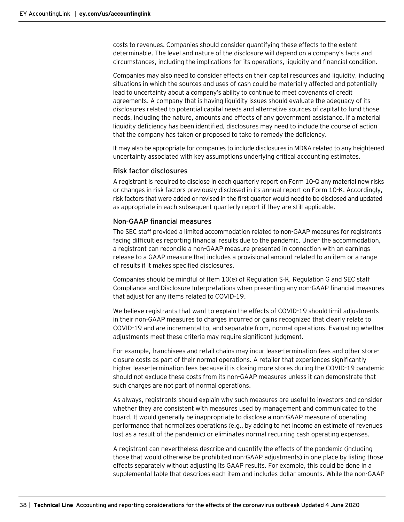costs to revenues. Companies should consider quantifying these effects to the extent determinable. The level and nature of the disclosure will depend on a company's facts and circumstances, including the implications for its operations, liquidity and financial condition.

Companies may also need to consider effects on their capital resources and liquidity, including situations in which the sources and uses of cash could be materially affected and potentially lead to uncertainty about a company's ability to continue to meet covenants of credit agreements. A company that is having liquidity issues should evaluate the adequacy of its disclosures related to potential capital needs and alternative sources of capital to fund those needs, including the nature, amounts and effects of any government assistance. If a material liquidity deficiency has been identified, disclosures may need to include the course of action that the company has taken or proposed to take to remedy the deficiency.

It may also be appropriate for companies to include disclosures in MD&A related to any heightened uncertainty associated with key assumptions underlying critical accounting estimates.

#### <span id="page-37-0"></span>Risk factor disclosures

A registrant is required to disclose in each quarterly report on Form 10-Q any material new risks or changes in risk factors previously disclosed in its annual report on Form 10-K. Accordingly, risk factors that were added or revised in the first quarter would need to be disclosed and updated as appropriate in each subsequent quarterly report if they are still applicable.

#### <span id="page-37-1"></span>Non-GAAP financial measures

The SEC staff provided a limited accommodation related to non-GAAP measures for registrants facing difficulties reporting financial results due to the pandemic. Under the accommodation, a registrant can reconcile a non-GAAP measure presented in connection with an earnings release to a GAAP measure that includes a provisional amount related to an item or a range of results if it makes specified disclosures.

Companies should be mindful of Item 10(e) of Regulation S-K, Regulation G and SEC staff Compliance and Disclosure Interpretations when presenting any non-GAAP financial measures that adjust for any items related to COVID-19.

We believe registrants that want to explain the effects of COVID-19 should limit adjustments in their non-GAAP measures to charges incurred or gains recognized that clearly relate to COVID-19 and are incremental to, and separable from, normal operations. Evaluating whether adjustments meet these criteria may require significant judgment.

For example, franchisees and retail chains may incur lease-termination fees and other storeclosure costs as part of their normal operations. A retailer that experiences significantly higher lease-termination fees because it is closing more stores during the COVID-19 pandemic should not exclude these costs from its non-GAAP measures unless it can demonstrate that such charges are not part of normal operations.

As always, registrants should explain why such measures are useful to investors and consider whether they are consistent with measures used by management and communicated to the board. It would generally be inappropriate to disclose a non-GAAP measure of operating performance that normalizes operations (e.g., by adding to net income an estimate of revenues lost as a result of the pandemic) or eliminates normal recurring cash operating expenses.

A registrant can nevertheless describe and quantify the effects of the pandemic (including those that would otherwise be prohibited non-GAAP adjustments) in one place by listing those effects separately without adjusting its GAAP results. For example, this could be done in a supplemental table that describes each item and includes dollar amounts. While the non-GAAP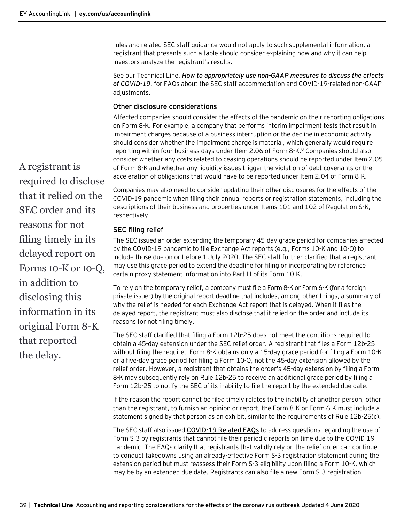rules and related SEC staff guidance would not apply to such supplemental information, a registrant that presents such a table should consider explaining how and why it can help investors analyze the registrant's results.

See our Technical Line, *[How to appropriately use non-GAAP measures to discuss the effects](https://go.ey.com/34Arval)  [of COVID-19](https://go.ey.com/34Arval)*, for FAQs about the SEC staff accommodation and COVID-19-related non-GAAP adjustments.

# <span id="page-38-0"></span>Other disclosure considerations

Affected companies should consider the effects of the pandemic on their reporting obligations on Form 8-K. For example, a company that performs interim impairment tests that result in impairment charges because of a business interruption or the decline in economic activity should consider whether the impairment charge is material, which generally would require reporting within four business days under Item 2.06 of Form  $8-K<sup>8</sup>$  Companies should also consider whether any costs related to ceasing operations should be reported under Item 2.05 of Form 8-K and whether any liquidity issues trigger the violation of debt covenants or the acceleration of obligations that would have to be reported under Item 2.04 of Form 8-K.

Companies may also need to consider updating their other disclosures for the effects of the COVID-19 pandemic when filing their annual reports or registration statements, including the descriptions of their business and properties under Items 101 and 102 of Regulation S-K, respectively.

## <span id="page-38-1"></span>SEC filing relief

The SEC issued a[n order](https://www.sec.gov/rules/other/2020/34-88318.pdf) extending the temporary 45-day grace period for companies affected by the COVID-19 pandemic to file Exchange Act reports (e.g., Forms 10-K and 10-Q) to include those due on or before 1 July 2020. The SEC staff further clarified that a registrant may use this grace period to extend the deadline for filing or incorporating by reference certain proxy statement information into Part III of its Form 10-K.

To rely on the temporary relief, a company must file a Form 8-K or Form 6-K (for a foreign private issuer) by the original report deadline that includes, among other things, a summary of why the relief is needed for each Exchange Act report that is delayed. When it files the delayed report, the registrant must also disclose that it relied on the order and include its reasons for not filing timely.

The SEC staff clarified that filing a Form 12b-25 does not meet the conditions required to obtain a 45-day extension under the SEC relief order. A registrant that files a Form 12b-25 without filing the required Form 8-K obtains only a 15-day grace period for filing a Form 10-K or a five-day grace period for filing a Form 10-Q, not the 45-day extension allowed by the relief order. However, a registrant that obtains the order's 45-day extension by filing a Form 8-K may subsequently rely on Rule 12b-25 to receive an additional grace period by filing a Form 12b-25 to notify the SEC of its inability to file the report by the extended due date.

If the reason the report cannot be filed timely relates to the inability of another person, other than the registrant, to furnish an opinion or report, the Form 8-K or Form 6-K must include a statement signed by that person as an exhibit, similar to the requirements of Rule 12b-25(c).

The SEC staff also issued **[COVID-19 Related FAQs](https://www.sec.gov/corpfin/covid-19-related-faqs)** to address questions regarding the use of Form S-3 by registrants that cannot file their periodic reports on time due to the COVID-19 pandemic. The FAQs clarify that registrants that validly rely on the relief order can continue to conduct takedowns using an already-effective Form S-3 registration statement during the extension period but must reassess their Form S-3 eligibility upon filing a Form 10-K, which may be by an extended due date. Registrants can also file a new Form S-3 registration

A registrant is required to disclose that it relied on the SEC order and its reasons for not filing timely in its delayed report on Forms 10-K or 10-Q, in addition to disclosing this information in its original Form 8-K that reported the delay.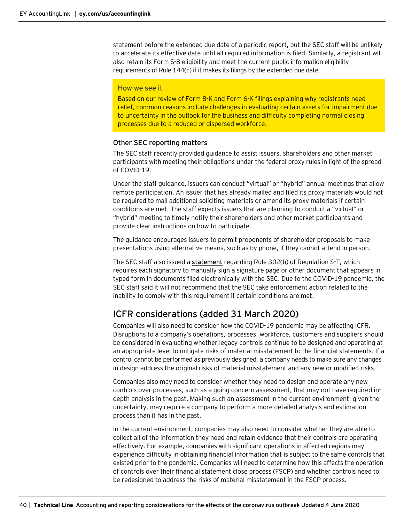statement before the extended due date of a periodic report, but the SEC staff will be unlikely to accelerate its effective date until all required information is filed. Similarly, a registrant will also retain its Form S-8 eligibility and meet the current public information eligibility requirements of Rule 144(c) if it makes its filings by the extended due date.

#### How we see it

Based on our review of Form 8-K and Form 6-K filings explaining why registrants need relief, common reasons include challenges in evaluating certain assets for impairment due to uncertainty in the outlook for the business and difficulty completing normal closing processes due to a reduced or dispersed workforce.

#### <span id="page-39-0"></span>Other SEC reporting matters

The SEC staff recently provided guidance to assist issuers, shareholders and other market participants with meeting their obligations under the federal proxy rules in light of the spread of COVID-19.

Under the staff guidance, issuers can conduct "virtual" or "hybrid" annual meetings that allow remote participation. An issuer that has already mailed and filed its proxy materials would not be required to mail additional soliciting materials or amend its proxy materials if certain conditions are met. The staff expects issuers that are planning to conduct a "virtual" or "hybrid" meeting to timely notify their shareholders and other market participants and provide clear instructions on how to participate.

The guidance encourages issuers to permit proponents of shareholder proposals to make presentations using alternative means, such as by phone, if they cannot attend in person.

The SEC staff also issued a **[statement](https://www.sec.gov/corpfin/announcement/staff-statement-regarding-rule-302b-regulation-s-t-light-covid-19-concerns)** regarding Rule 302(b) of Regulation S-T, which requires each signatory to manually sign a signature page or other document that appears in typed form in documents filed electronically with the SEC. Due to the COVID-19 pandemic, the SEC staff said it will not recommend that the SEC take enforcement action related to the inability to comply with this requirement if certain conditions are met.

# <span id="page-39-1"></span>ICFR considerations (added 31 March 2020)

Companies will also need to consider how the COVID-19 pandemic may be affecting ICFR. Disruptions to a company's operations, processes, workforce, customers and suppliers should be considered in evaluating whether legacy controls continue to be designed and operating at an appropriate level to mitigate risks of material misstatement to the financial statements. If a control cannot be performed as previously designed, a company needs to make sure any changes in design address the original risks of material misstatement and any new or modified risks.

Companies also may need to consider whether they need to design and operate any new controls over processes, such as a going concern assessment, that may not have required indepth analysis in the past. Making such an assessment in the current environment, given the uncertainty, may require a company to perform a more detailed analysis and estimation process than it has in the past.

In the current environment, companies may also need to consider whether they are able to collect all of the information they need and retain evidence that their controls are operating effectively. For example, companies with significant operations in affected regions may experience difficulty in obtaining financial information that is subject to the same controls that existed prior to the pandemic. Companies will need to determine how this affects the operation of controls over their financial statement close process (FSCP) and whether controls need to be redesigned to address the risks of material misstatement in the FSCP process.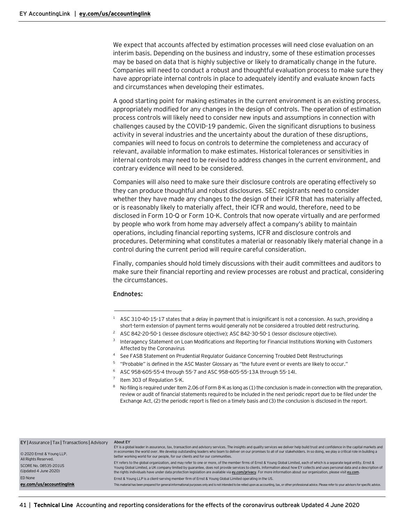We expect that accounts affected by estimation processes will need close evaluation on an interim basis. Depending on the business and industry, some of these estimation processes may be based on data that is highly subjective or likely to dramatically change in the future. Companies will need to conduct a robust and thoughtful evaluation process to make sure they have appropriate internal controls in place to adequately identify and evaluate known facts and circumstances when developing their estimates.

A good starting point for making estimates in the current environment is an existing process, appropriately modified for any changes in the design of controls. The operation of estimation process controls will likely need to consider new inputs and assumptions in connection with challenges caused by the COVID-19 pandemic. Given the significant disruptions to business activity in several industries and the uncertainty about the duration of these disruptions, companies will need to focus on controls to determine the completeness and accuracy of relevant, available information to make estimates. Historical tolerances or sensitivities in internal controls may need to be revised to address changes in the current environment, and contrary evidence will need to be considered.

Companies will also need to make sure their disclosure controls are operating effectively so they can produce thoughtful and robust disclosures. SEC registrants need to consider whether they have made any changes to the design of their ICFR that has materially affected, or is reasonably likely to materially affect, their ICFR and would, therefore, need to be disclosed in Form 10-Q or Form 10-K. Controls that now operate virtually and are performed by people who work from home may adversely affect a company's ability to maintain operations, including financial reporting systems, ICFR and disclosure controls and procedures. Determining what constitutes a material or reasonably likely material change in a control during the current period will require careful consideration.

Finally, companies should hold timely discussions with their audit committees and auditors to make sure their financial reporting and review processes are robust and practical, considering the circumstances.

#### **Endnotes:**

- <sup>2</sup> ASC 842-20-50-1 (lessee disclosure objective); ASC 842-30-50-1 (lessor disclosure objective).
- <sup>3</sup> Interagency Statement on Loan Modifications and Reporting for Financial Institutions Working with Customers [Affected by the Coronavirus](https://www.occ.treas.gov/news-issuances/news-releases/2020/nr-ia-2020-39a.pdf)
- <sup>4</sup> See FASB Statement on Prudential Regulator Guidance Concerning Troubled Debt Restructurings
- <sup>5</sup> "Probable" is defined in the ASC Master Glossary as "the future event or events are likely to occur."
- <sup>6</sup> ASC 958-605-55-4 through 55-7 and ASC 958-605-55-13A through 55-14I.
- $7$  Item 303 of Regulation S-K.

 $\overline{\phantom{a}}$  , where  $\overline{\phantom{a}}$  , where  $\overline{\phantom{a}}$  , where  $\overline{\phantom{a}}$ 

<sup>8</sup> No filing is required under Item 2.06 of Form 8-K as long as (1) the conclusion is made in connection with the preparation, review or audit of financial statements required to be included in the next periodic report due to be filed under the Exchange Act, (2) the periodic report is filed on a timely basis and (3) the conclusion is disclosed in the report.

| EY   Assurance   Tax   Transactions   Advisory<br>© 2020 Ernst & Young LLP.<br>All Rights Reserved. | About EY<br>EY is a global leader in assurance, tax, transaction and advisory services. The insights and quality services we deliver help build trust and confidence in the capital markets and<br>in economies the world over. We develop outstanding leaders who team to deliver on our promises to all of our stakeholders. In so doing, we play a critical role in building a<br>better working world for our people, for our clients and for our communities.                                                              |
|-----------------------------------------------------------------------------------------------------|---------------------------------------------------------------------------------------------------------------------------------------------------------------------------------------------------------------------------------------------------------------------------------------------------------------------------------------------------------------------------------------------------------------------------------------------------------------------------------------------------------------------------------|
| SCORE No. 08535-201US<br>(Updated 4 June 2020)                                                      | EY refers to the global organization, and may refer to one or more, of the member firms of Ernst & Young Global Limited, each of which is a separate legal entity. Ernst &<br>Young Global Limited, a UK company limited by guarantee, does not provide services to clients. Information about how EY collects and uses personal data and a description of<br>the rights individuals have under data protection legislation are available via ey.com/privacy. For more information about our organization, please visit ey.com. |
| ED None                                                                                             | Ernst & Young LLP is a client-serving member firm of Ernst & Young Global Limited operating in the US.                                                                                                                                                                                                                                                                                                                                                                                                                          |
| ey.com/us/accountinglink                                                                            | This material has been prepared for general informational purposes only and is not intended to be relied upon as accounting, tax, or other professional advice. Please refer to your advisors for specific advice.                                                                                                                                                                                                                                                                                                              |

 $1$  ASC 310-40-15-17 states that a delay in payment that is insignificant is not a concession. As such, providing a short-term extension of payment terms would generally not be considered a troubled debt restructuring.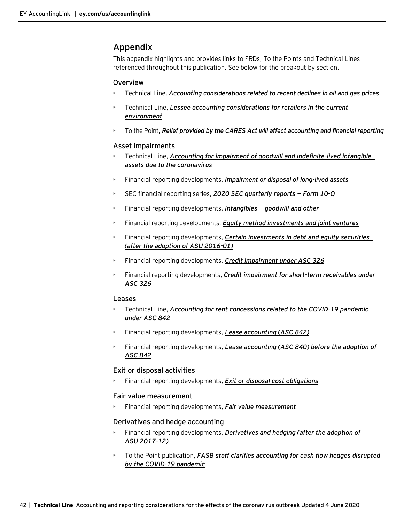# <span id="page-41-0"></span>Appendix

This appendix highlights and provides links to FRDs, To the Points and Technical Lines referenced throughout this publication. See below for the breakout by section.

# **Overview**

- Technical Line, *[Accounting considerations related to recent declines in oil and gas prices](https://www.ey.com/en_us/assurance/accountinglink/technical-line---accounting-considerations-related-to-recent-dec)*
- Technical Line, *[Lessee accounting considerations for retailers in the current](https://www.ey.com/en_us/assurance/accountinglink/technical-line---lessee-accounting-considerations-for-retailers-)  [environment](https://www.ey.com/en_us/assurance/accountinglink/technical-line---lessee-accounting-considerations-for-retailers-)*
- To the Point, *[Relief provided by the CARES Act will affect accounting and financial reporting](https://www.ey.com/en_us/assurance/accountinglink/to-the-point---relief-provided-by-the-cares-act-will-affect-acco)*

# Asset impairments

- Technical Line, *[Accounting for impairment of goodwill and indefinite-lived intangible](https://www.ey.com/en_us/assurance/accountinglink/technical-line---accounting-for-impairment-of-goodwill-and-indef)  [assets due to the coronavirus](https://www.ey.com/en_us/assurance/accountinglink/technical-line---accounting-for-impairment-of-goodwill-and-indef)*
- Financial reporting developments, *[Impairment or disposal of long-lived assets](https://www.ey.com/en_us/assurance/accountinglink/financial-reporting-developments---impairment-or-disposal-of-lon)*
- SEC financial reporting series, *[2020 SEC quarterly reports](https://www.ey.com/en_us/assurance/accountinglink/2020-sec-quarterly-reports---form-10-q) — Form 10-Q*
- Financial reporting developments, *Intangibles — [goodwill and other](https://www.ey.com/en_us/assurance/accountinglink/financial-reporting-developments---intangibles---goodwill-and-ot)*
- Financial reporting developments, *[Equity method investments and joint ventures](https://www.ey.com/en_us/assurance/accountinglink/financial-reporting-developments---equity-method-investments-and)*
- Financial reporting developments, *[Certain investments in debt and equity securities](https://www.ey.com/en_us/assurance/accountinglink/financial-reporting-developments---certain-investments-in-debt-a)  [\(after the adoption of ASU 2016-01\)](https://www.ey.com/en_us/assurance/accountinglink/financial-reporting-developments---certain-investments-in-debt-a)*
- Financial reporting developments, *[Credit impairment under ASC](https://www.ey.com/en_us/assurance/accountinglink/financial-reporting-developments---credit-impairment-under-asc-3) 326*
- Financial reporting developments, *[Credit impairment for short-term receivables under](https://www.ey.com/en_us/assurance/accountinglink/financial-reporting-developments---credit-impairment-for-short-t)  [ASC](https://www.ey.com/en_us/assurance/accountinglink/financial-reporting-developments---credit-impairment-for-short-t) 326*

# Leases

- Technical Line, *[Accounting for rent concessions related to the COVID-19 pandemic](https://www.ey.com/en_us/assurance/accountinglink/technical-line---accounting-for-rent-concessions-related-to-the-)  [under ASC](https://www.ey.com/en_us/assurance/accountinglink/technical-line---accounting-for-rent-concessions-related-to-the-) 842*
- Financial reporting developments, *[Lease accounting \(ASC](https://www.ey.com/en_us/assurance/accountinglink/financial-reporting-developments---lease-accounting---accounting0) 842)*
- Financial reporting developments, *Lease accounting (ASC [840\) before the adoption of](https://www.ey.com/en_us/assurance/accountinglink/financial-reporting-developments---lease-accounting---accounting0)  [ASC](https://www.ey.com/en_us/assurance/accountinglink/financial-reporting-developments---lease-accounting---accounting0) 842*

# Exit or disposal activities

• Financial reporting developments, *[Exit or disposal cost obligations](https://www.ey.com/en_us/assurance/accountinglink/financial-reporting-developments---exit-or-disposal-cost-obligat)*

# Fair value measurement

• Financial reporting developments, *[Fair value measurement](https://www.ey.com/en_us/assurance/accountinglink/financial-reporting-developments---fair-value-measurement)*

# Derivatives and hedge accounting

- Financial reporting developments, *[Derivatives and hedging \(after the adoption of](https://www.ey.com/en_us/assurance/accountinglink/financial-reporting-developments---derivatives-and-hedging--afte)  ASU [2017-12\)](https://www.ey.com/en_us/assurance/accountinglink/financial-reporting-developments---derivatives-and-hedging--afte)*
- To the Point publication, *[FASB staff clarifies accounting for cash flow hedges disrupted](https://www.ey.com/en_us/assurance/accountinglink/to-the-point---fasb-staff-clarifies-accounting-for-cash-flow-hed)  [by the COVID-19 pandemic](https://www.ey.com/en_us/assurance/accountinglink/to-the-point---fasb-staff-clarifies-accounting-for-cash-flow-hed)*